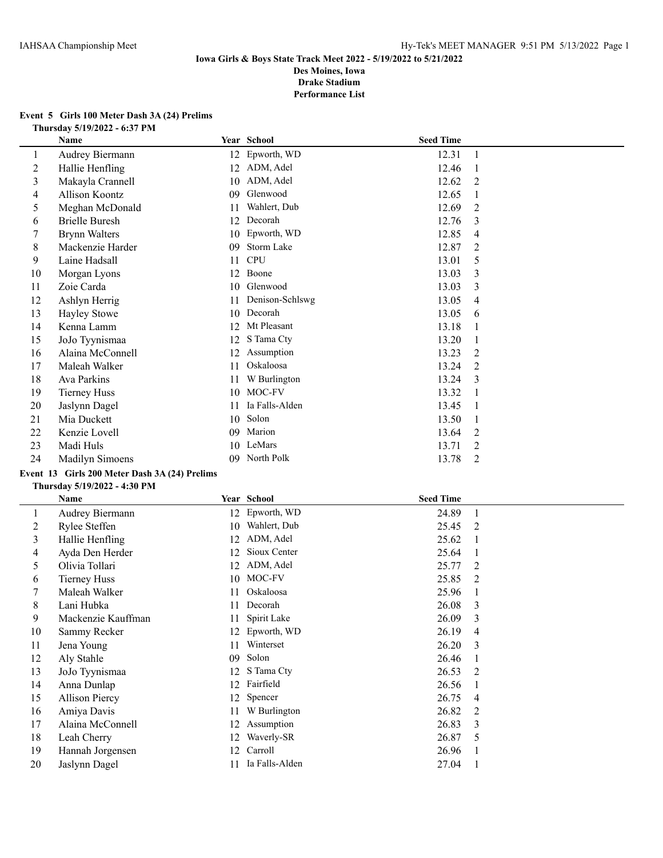#### **Event 5 Girls 100 Meter Dash 3A (24) Prelims Thursday 5/19/2022 - 6:37 PM**

| Name                  |    |                 |                                                                                            |                  |
|-----------------------|----|-----------------|--------------------------------------------------------------------------------------------|------------------|
| Audrey Biermann       | 12 |                 | 12.31                                                                                      | -1               |
| Hallie Henfling       | 12 |                 | 12.46                                                                                      |                  |
| Makayla Crannell      | 10 | ADM, Adel       | 12.62                                                                                      | 2                |
| Allison Koontz        | 09 | Glenwood        | 12.65                                                                                      |                  |
| Meghan McDonald       | 11 | Wahlert, Dub    | 12.69                                                                                      | 2                |
| <b>Brielle Buresh</b> | 12 |                 | 12.76                                                                                      | 3                |
| <b>Brynn Walters</b>  | 10 |                 | 12.85                                                                                      | 4                |
| Mackenzie Harder      | 09 | Storm Lake      | 12.87                                                                                      | 2                |
| Laine Hadsall         | 11 | <b>CPU</b>      | 13.01                                                                                      | 5                |
| Morgan Lyons          | 12 | Boone           | 13.03                                                                                      | 3                |
| Zoie Carda            | 10 | Glenwood        | 13.03                                                                                      | 3                |
| Ashlyn Herrig         | 11 | Denison-Schlswg | 13.05                                                                                      | 4                |
| <b>Hayley Stowe</b>   | 10 |                 | 13.05                                                                                      | 6                |
| Kenna Lamm            | 12 | Mt Pleasant     | 13.18                                                                                      |                  |
| JoJo Tyynismaa        | 12 | S Tama Cty      | 13.20                                                                                      | -1               |
| Alaina McConnell      | 12 | Assumption      | 13.23                                                                                      | 2                |
| Maleah Walker         | 11 | Oskaloosa       | 13.24                                                                                      | 2                |
| Ava Parkins           | 11 | W Burlington    | 13.24                                                                                      | 3                |
| <b>Tierney Huss</b>   | 10 | MOC-FV          | 13.32                                                                                      |                  |
| Jaslynn Dagel         | 11 | Ia Falls-Alden  | 13.45                                                                                      |                  |
| Mia Duckett           | 10 | Solon           | 13.50                                                                                      |                  |
| Kenzie Lovell         | 09 | Marion          | 13.64                                                                                      | 2                |
| Madi Huls             | 10 | LeMars          | 13.71                                                                                      | 2                |
| Madilyn Simoens       | 09 |                 | 13.78                                                                                      | 2                |
|                       |    |                 | Year School<br>Epworth, WD<br>ADM, Adel<br>Decorah<br>Epworth, WD<br>Decorah<br>North Polk | <b>Seed Time</b> |

# **Event 13 Girls 200 Meter Dash 3A (24) Prelims**

#### **Thursday 5/19/2022 - 4:30 PM**

|    | Name                  |    | Year School    | <b>Seed Time</b> |                |
|----|-----------------------|----|----------------|------------------|----------------|
| 1  | Audrey Biermann       |    | 12 Epworth, WD | 24.89            | -1             |
| 2  | Rylee Steffen         | 10 | Wahlert, Dub   | 25.45            | 2              |
| 3  | Hallie Henfling       | 12 | ADM, Adel      | 25.62            |                |
| 4  | Ayda Den Herder       | 12 | Sioux Center   | 25.64            |                |
| 5  | Olivia Tollari        | 12 | ADM, Adel      | 25.77            | 2              |
| 6  | <b>Tierney Huss</b>   | 10 | MOC-FV         | 25.85            | 2              |
| 7  | Maleah Walker         | 11 | Oskaloosa      | 25.96            |                |
| 8  | Lani Hubka            | 11 | Decorah        | 26.08            | 3              |
| 9  | Mackenzie Kauffman    | 11 | Spirit Lake    | 26.09            | 3              |
| 10 | Sammy Recker          | 12 | Epworth, WD    | 26.19            | $\overline{4}$ |
| 11 | Jena Young            | 11 | Winterset      | 26.20            | 3              |
| 12 | Aly Stahle            | 09 | Solon          | 26.46            |                |
| 13 | JoJo Tyynismaa        | 12 | S Tama Cty     | 26.53            | 2              |
| 14 | Anna Dunlap           | 12 | Fairfield      | 26.56            |                |
| 15 | <b>Allison Piercy</b> | 12 | Spencer        | 26.75            | 4              |
| 16 | Amiya Davis           | 11 | W Burlington   | 26.82            | 2              |
| 17 | Alaina McConnell      | 12 | Assumption     | 26.83            | 3              |
| 18 | Leah Cherry           | 12 | Waverly-SR     | 26.87            | 5              |
| 19 | Hannah Jorgensen      | 12 | Carroll        | 26.96            |                |
| 20 | Jaslynn Dagel         | 11 | Ia Falls-Alden | 27.04            |                |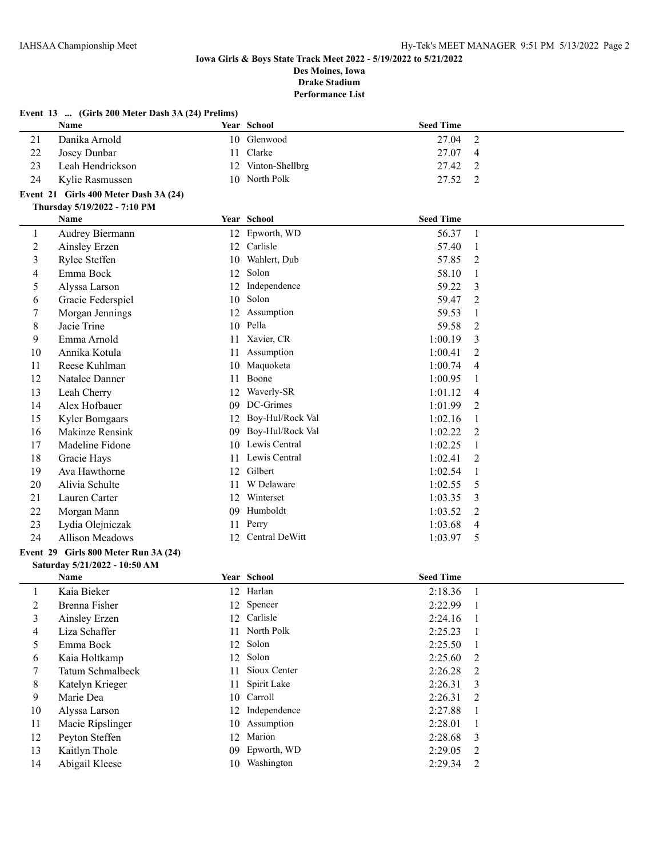|                | EVEIL 15  (GILIS 200 MELET DASIL JA (24) FREHILIS)<br>Name |    | Year School         | <b>Seed Time</b> |                |
|----------------|------------------------------------------------------------|----|---------------------|------------------|----------------|
| 21             | Danika Arnold                                              |    | 10 Glenwood         | 27.04            | $\overline{2}$ |
| 22             | Josey Dunbar                                               | 11 | Clarke              | 27.07            | 4              |
| 23             | Leah Hendrickson                                           |    | 12 Vinton-Shellbrg  | 27.42            | 2              |
| 24             | Kylie Rasmussen                                            |    | 10 North Polk       | 27.52            | 2              |
|                | Event 21 Girls 400 Meter Dash 3A (24)                      |    |                     |                  |                |
|                | Thursday 5/19/2022 - 7:10 PM                               |    |                     |                  |                |
|                | Name                                                       |    | Year School         | <b>Seed Time</b> |                |
| $\mathbf{1}$   | Audrey Biermann                                            |    | 12 Epworth, WD      | 56.37            | $\mathbf{1}$   |
| $\overline{c}$ | Ainsley Erzen                                              |    | 12 Carlisle         | 57.40            | 1              |
| 3              | Rylee Steffen                                              | 10 | Wahlert, Dub        | 57.85            | $\overline{2}$ |
| 4              | Emma Bock                                                  | 12 | Solon               | 58.10            | $\mathbf{1}$   |
| 5              | Alyssa Larson                                              | 12 | Independence        | 59.22            | 3              |
| 6              | Gracie Federspiel                                          | 10 | Solon               | 59.47            | 2              |
| 7              | Morgan Jennings                                            |    | 12 Assumption       | 59.53            | 1              |
| 8              | Jacie Trine                                                |    | 10 Pella            | 59.58            | 2              |
| 9              | Emma Arnold                                                |    | 11 Xavier, CR       | 1:00.19          | 3              |
| 10             | Annika Kotula                                              | 11 | Assumption          | 1:00.41          | $\overline{2}$ |
| 11             | Reese Kuhlman                                              | 10 | Maquoketa           | 1:00.74          | $\overline{4}$ |
| 12             | Natalee Danner                                             | 11 | Boone               | 1:00.95          | 1              |
| 13             | Leah Cherry                                                |    | 12 Waverly-SR       | 1:01.12          | 4              |
| 14             | Alex Hofbauer                                              |    | 09 DC-Grimes        | 1:01.99          | $\overline{2}$ |
| 15             | Kyler Bomgaars                                             |    | 12 Boy-Hul/Rock Val | 1:02.16          | 1              |
| 16             | Makinze Rensink                                            |    | 09 Boy-Hul/Rock Val | 1:02.22          | 2              |
| 17             | Madeline Fidone                                            |    | 10 Lewis Central    | 1:02.25          | 1              |
| 18             | Gracie Hays                                                |    | 11 Lewis Central    | 1:02.41          | 2              |
| 19             | Ava Hawthorne                                              | 12 | Gilbert             | 1:02.54          | 1              |
| 20             | Alivia Schulte                                             | 11 | W Delaware          | 1:02.55          | 5              |
| 21             | Lauren Carter                                              | 12 | Winterset           | 1:03.35          | 3              |
| 22             | Morgan Mann                                                | 09 | Humboldt            | 1:03.52          | $\overline{2}$ |
| 23             | Lydia Olejniczak                                           | 11 | Perry               | 1:03.68          | $\overline{4}$ |
| 24             | Allison Meadows                                            | 12 | Central DeWitt      | 1:03.97          | 5              |
|                | Event 29 Girls 800 Meter Run 3A (24)                       |    |                     |                  |                |
|                | Saturday 5/21/2022 - 10:50 AM                              |    |                     |                  |                |
|                | Name                                                       |    | Year School         | <b>Seed Time</b> |                |
| $\mathbf{1}$   | Kaia Bieker                                                |    | 12 Harlan           | 2:18.36          | $\mathbf{1}$   |
| $\overline{c}$ | Brenna Fisher                                              |    | 12 Spencer          | 2:22.99          | 1              |
| 3              | Ainsley Erzen                                              | 12 | Carlisle            | 2:24.16          | 1              |
| 4              | Liza Schaffer                                              |    | 11 North Polk       | 2:25.23          | 1              |

 Emma Bock 12 Solon 2:25.50 1 Kaia Holtkamp 12 Solon 2:25.60 2 Tatum Schmalbeck 11 Sioux Center 2:26.28 2 8 Katelyn Krieger 11 Spirit Lake 2:26.31 3 Marie Dea 10 Carroll 2:26.31 2 10 Alyssa Larson 12 Independence 2:27.88 1 11 Macie Ripslinger 10 Assumption 2:28.01 1 12 Peyton Steffen 12 Marion 2:28.68 3 Kaitlyn Thole 09 Epworth, WD 2:29.05 2 14 Abigail Kleese 10 Washington 2:29.34 2

# **Event 13 ... (Girls 200 Meter Dash 3A (24) Prelims)**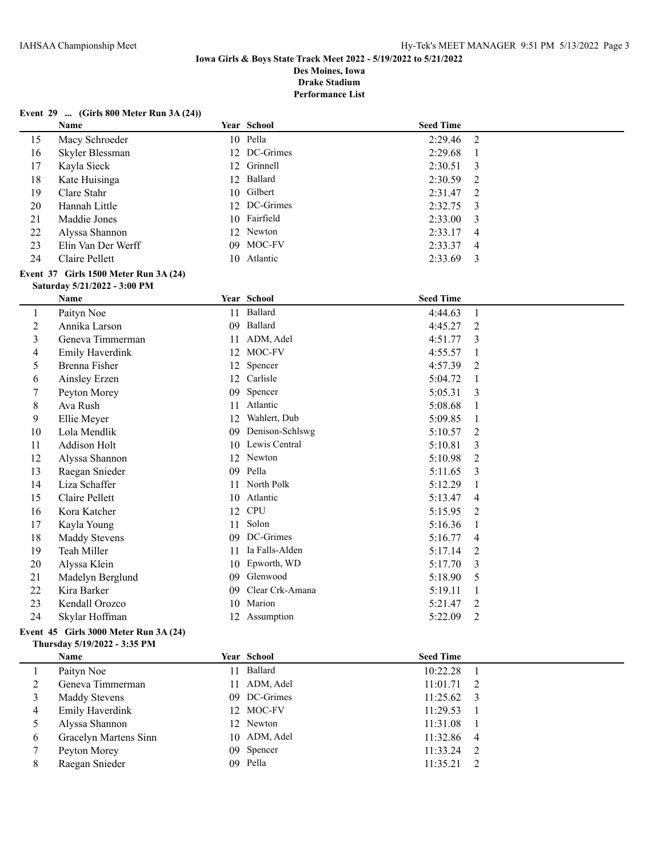#### **Event 29 ... (Girls 800 Meter Run 3A (24))**

**Thursday 5/19/2022 - 3:35 PM**

|                | Name                                  |    | Year School      | <b>Seed Time</b> |                |
|----------------|---------------------------------------|----|------------------|------------------|----------------|
| 15             | Macy Schroeder                        |    | 10 Pella         | 2:29.46          | $\overline{2}$ |
| 16             | Skyler Blessman                       |    | 12 DC-Grimes     | 2:29.68          | 1              |
| 17             | Kayla Sieck                           |    | 12 Grinnell      | 2:30.51          | 3              |
| 18             | Kate Huisinga                         |    | 12 Ballard       | 2:30.59          | 2              |
| 19             | Clare Stahr                           |    | 10 Gilbert       | 2:31.47          | 2              |
| 20             | Hannah Little                         |    | 12 DC-Grimes     | 2:32.75          | 3              |
| 21             | Maddie Jones                          | 10 | Fairfield        | 2:33.00          | 3              |
| 22             | Alyssa Shannon                        |    | 12 Newton        | 2:33.17          | 4              |
| 23             | Elin Van Der Werff                    | 09 | MOC-FV           | 2:33.37          | 4              |
| 24             | Claire Pellett                        |    | 10 Atlantic      | 2:33.69          | 3              |
|                | Event 37 Girls 1500 Meter Run 3A (24) |    |                  |                  |                |
|                | Saturday 5/21/2022 - 3:00 PM          |    |                  |                  |                |
|                | Name                                  |    | Year School      | <b>Seed Time</b> |                |
| $\mathbf{1}$   | Paityn Noe                            | 11 | Ballard          | 4:44.63          | $\mathbf{1}$   |
| $\overline{c}$ | Annika Larson                         |    | 09 Ballard       | 4:45.27          | 2              |
| $\overline{3}$ | Geneva Timmerman                      |    | 11 ADM, Adel     | 4:51.77          | 3              |
| 4              | Emily Haverdink                       |    | 12 MOC-FV        | 4:55.57          | $\mathbf{1}$   |
| 5              | Brenna Fisher                         |    | 12 Spencer       | 4:57.39          | 2              |
| 6              | Ainsley Erzen                         |    | 12 Carlisle      | 5:04.72          | 1              |
| 7              | Peyton Morey                          | 09 | Spencer          | 5:05.31          | 3              |
| 8              | Ava Rush                              | 11 | Atlantic         | 5:08.68          | 1              |
| 9              | Ellie Meyer                           | 12 | Wahlert, Dub     | 5:09.85          | $\mathbf{1}$   |
| 10             | Lola Mendlik                          | 09 | Denison-Schlswg  | 5:10.57          | 2              |
| 11             | Addison Holt                          |    | 10 Lewis Central | 5:10.81          | 3              |
| 12             | Alyssa Shannon                        |    | 12 Newton        | 5:10.98          | $\overline{2}$ |
| 13             | Raegan Snieder                        | 09 | Pella            | 5:11.65          | 3              |
| 14             | Liza Schaffer                         | 11 | North Polk       | 5:12.29          | 1              |
| 15             | Claire Pellett                        |    | 10 Atlantic      | 5:13.47          | 4              |
| 16             | Kora Katcher                          |    | 12 CPU           | 5:15.95          | 2              |
| 17             | Kayla Young                           |    | 11 Solon         | 5:16.36          | 1              |
| 18             | <b>Maddy Stevens</b>                  | 09 | DC-Grimes        | 5:16.77          | 4              |
| 19             | Teah Miller                           | 11 | Ia Falls-Alden   | 5:17.14          | 2              |
| 20             | Alyssa Klein                          | 10 | Epworth, WD      | 5:17.70          | 3              |
| 21             | Madelyn Berglund                      | 09 | Glenwood         | 5:18.90          | 5              |
| 22             | Kira Barker                           | 09 | Clear Crk-Amana  | 5:19.11          | $\mathbf{1}$   |
| 23             | Kendall Orozco                        | 10 | Marion           | 5:21.47          | 2              |
| 24             | Skylar Hoffman                        |    | 12 Assumption    | 5:22.09          | 2              |
|                | Event 45 Girls 3000 Meter Run 3A (24) |    |                  |                  |                |

|   | Name                  | Year School  | <b>Seed Time</b>   |  |
|---|-----------------------|--------------|--------------------|--|
|   | Paityn Noe            | 11 Ballard   | 10:22.28           |  |
|   | Geneva Timmerman      | 11 ADM, Adel | $11:01.71$ 2       |  |
|   | <b>Maddy Stevens</b>  | 09 DC-Grimes | $11:25.62 \quad 3$ |  |
| 4 | Emily Haverdink       | 12 MOC-FV    | 11:29.53           |  |
|   | Alyssa Shannon        | 12 Newton    | 11:31.08           |  |
| 6 | Gracelyn Martens Sinn | 10 ADM, Adel | 11:32.86 4         |  |
|   | Peyton Morey          | 09 Spencer   | $11:33.24$ 2       |  |
| 8 | Raegan Snieder        | 09 Pella     | 11:35.21           |  |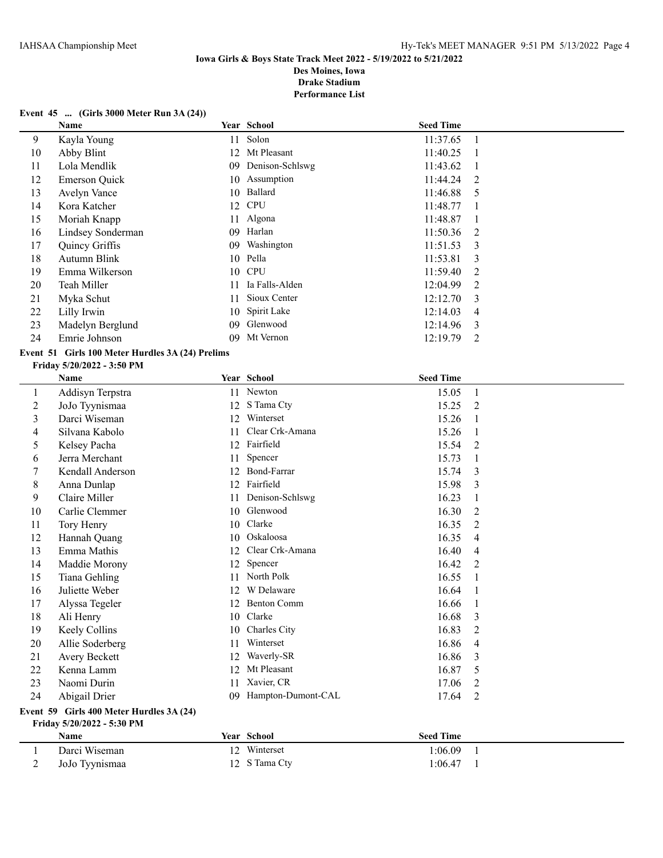#### **Event 45 ... (Girls 3000 Meter Run 3A (24))**

|    | <b>Name</b>          |     | Year School     | <b>Seed Time</b> |     |
|----|----------------------|-----|-----------------|------------------|-----|
| 9  | Kayla Young          | 11  | Solon           | 11:37.65         |     |
| 10 | Abby Blint           | 12. | Mt Pleasant     | 11:40.25         |     |
| 11 | Lola Mendlik         | 09  | Denison-Schlswg | 11:43.62         |     |
| 12 | <b>Emerson Quick</b> |     | 10 Assumption   | 11:44.24         | 2   |
| 13 | Avelyn Vance         | 10  | Ballard         | 11:46.88         | 5   |
| 14 | Kora Katcher         | 12  | <b>CPU</b>      | 11:48.77         |     |
| 15 | Moriah Knapp         |     | 11 Algona       | 11:48.87         |     |
| 16 | Lindsey Sonderman    | 09  | Harlan          | 11:50.36         | - 2 |
| 17 | Quincy Griffis       | 09  | Washington      | 11:51.53         | -3  |
| 18 | Autumn Blink         | 10  | Pella           | 11:53.81         | 3   |
| 19 | Emma Wilkerson       |     | 10 CPU          | 11:59.40         | 2   |
| 20 | Teah Miller          | 11  | Ia Falls-Alden  | 12:04.99         | 2   |
| 21 | Myka Schut           | 11  | Sioux Center    | 12:12.70         | 3   |
| 22 | Lilly Irwin          | 10  | Spirit Lake     | 12:14.03         | 4   |
| 23 | Madelyn Berglund     | 09  | Glenwood        | 12:14.96         | 3   |
| 24 | Emrie Johnson        | 09  | Mt Vernon       | 12:19.79         | 2   |

## **Event 51 Girls 100 Meter Hurdles 3A (24) Prelims**

#### **Friday 5/20/2022 - 3:50 PM**

|         | Name             |    | Year School        | <b>Seed Time</b> |                |
|---------|------------------|----|--------------------|------------------|----------------|
| $\perp$ | Addisyn Terpstra |    | 11 Newton          | 15.05            | 1              |
| 2       | JoJo Tyynismaa   | 12 | S Tama Cty         | 15.25            | 2              |
| 3       | Darci Wiseman    | 12 | Winterset          | 15.26            | $\mathbf{1}$   |
| 4       | Silvana Kabolo   | 11 | Clear Crk-Amana    | 15.26            | $\mathbf{1}$   |
| 5       | Kelsey Pacha     | 12 | Fairfield          | 15.54            | $\overline{2}$ |
| 6       | Jerra Merchant   | 11 | Spencer            | 15.73            | 1              |
| 7       | Kendall Anderson | 12 | Bond-Farrar        | 15.74            | 3              |
| 8       | Anna Dunlap      | 12 | Fairfield          | 15.98            | 3              |
| 9       | Claire Miller    | 11 | Denison-Schlswg    | 16.23            | 1              |
| 10      | Carlie Clemmer   | 10 | Glenwood           | 16.30            | $\overline{2}$ |
| 11      | Tory Henry       | 10 | Clarke             | 16.35            | $\overline{2}$ |
| 12      | Hannah Quang     | 10 | Oskaloosa          | 16.35            | $\overline{4}$ |
| 13      | Emma Mathis      | 12 | Clear Crk-Amana    | 16.40            | 4              |
| 14      | Maddie Morony    | 12 | Spencer            | 16.42            | 2              |
| 15      | Tiana Gehling    | 11 | North Polk         | 16.55            |                |
| 16      | Juliette Weber   | 12 | W Delaware         | 16.64            | $\overline{1}$ |
| 17      | Alyssa Tegeler   | 12 | <b>Benton Comm</b> | 16.66            | -1             |
| 18      | Ali Henry        | 10 | Clarke             | 16.68            | 3              |
| 19      | Keely Collins    | 10 | Charles City       | 16.83            | 2              |
| 20      | Allie Soderberg  | 11 | Winterset          | 16.86            | 4              |
| 21      | Avery Beckett    | 12 | Waverly-SR         | 16.86            | 3              |
| 22      | Kenna Lamm       | 12 | Mt Pleasant        | 16.87            | 5              |
| 23      | Naomi Durin      | 11 | Xavier, CR         | 17.06            | $\overline{2}$ |
| 24      | Abigail Drier    | 09 | Hampton-Dumont-CAL | 17.64            | $\overline{2}$ |
|         |                  |    |                    |                  |                |

# **Event 59 Girls 400 Meter Hurdles 3A (24)**

# **Friday 5/20/2022 - 5:30 PM**

| Name           | <b>Year School</b> | <b>Seed Time</b> |  |
|----------------|--------------------|------------------|--|
| Darci Wiseman  | Winterset          | :06.09           |  |
| JoJo Tyynismaa | 12 S Tama Cty      | 1:06.47          |  |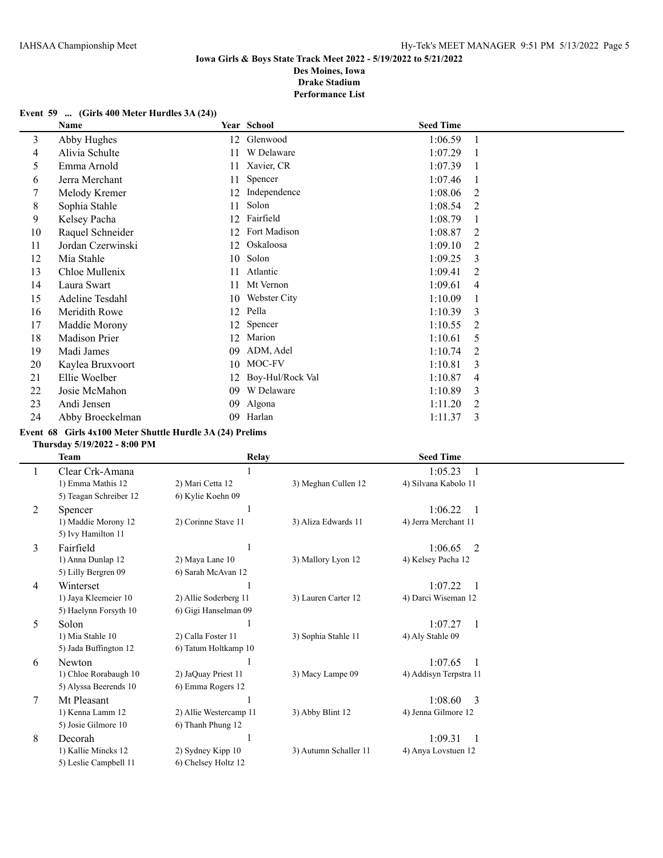#### **Event 59 ... (Girls 400 Meter Hurdles 3A (24))**

|    | Name                 |    | Year School      | <b>Seed Time</b> |                |
|----|----------------------|----|------------------|------------------|----------------|
| 3  | Abby Hughes          | 12 | Glenwood         | 1:06.59          | -1             |
| 4  | Alivia Schulte       | 11 | W Delaware       | 1:07.29          |                |
| 5  | Emma Arnold          | 11 | Xavier, CR       | 1:07.39          |                |
| 6  | Jerra Merchant       | 11 | Spencer          | 1:07.46          |                |
| 7  | Melody Kremer        | 12 | Independence     | 1:08.06          | 2              |
| 8  | Sophia Stahle        | 11 | Solon            | 1:08.54          | 2              |
| 9  | Kelsey Pacha         | 12 | Fairfield        | 1:08.79          |                |
| 10 | Raquel Schneider     | 12 | Fort Madison     | 1:08.87          | 2              |
| 11 | Jordan Czerwinski    | 12 | Oskaloosa        | 1:09.10          | 2              |
| 12 | Mia Stahle           | 10 | Solon            | 1:09.25          | 3              |
| 13 | Chloe Mullenix       | 11 | Atlantic         | 1:09.41          | 2              |
| 14 | Laura Swart          | 11 | Mt Vernon        | 1:09.61          | 4              |
| 15 | Adeline Tesdahl      | 10 | Webster City     | 1:10.09          | 1              |
| 16 | Meridith Rowe        | 12 | Pella            | 1:10.39          | 3              |
| 17 | Maddie Morony        | 12 | Spencer          | 1:10.55          | $\overline{2}$ |
| 18 | <b>Madison Prier</b> | 12 | Marion           | 1:10.61          | 5              |
| 19 | Madi James           | 09 | ADM, Adel        | 1:10.74          | 2              |
| 20 | Kaylea Bruxvoort     | 10 | MOC-FV           | 1:10.81          | 3              |
| 21 | Ellie Woelber        | 12 | Boy-Hul/Rock Val | 1:10.87          | 4              |
| 22 | Josie McMahon        | 09 | W Delaware       | 1:10.89          | 3              |
| 23 | Andi Jensen          | 09 | Algona           | 1:11.20          | $\overline{2}$ |
| 24 | Abby Broeckelman     | 09 | Harlan           | 1:11.37          | 3              |

#### **Event 68 Girls 4x100 Meter Shuttle Hurdle 3A (24) Prelims**

#### **Thursday 5/19/2022 - 8:00 PM**

|   | <b>Team</b>            | <b>Relay</b>           |                       | <b>Seed Time</b>          |  |
|---|------------------------|------------------------|-----------------------|---------------------------|--|
|   | Clear Crk-Amana        |                        |                       | 1:05.23                   |  |
|   | 1) Emma Mathis 12      | 2) Mari Cetta 12       | 3) Meghan Cullen 12   | 4) Silvana Kabolo 11      |  |
|   | 5) Teagan Schreiber 12 | 6) Kylie Koehn 09      |                       |                           |  |
| 2 | Spencer                |                        |                       | 1:06.22                   |  |
|   | 1) Maddie Morony 12    | 2) Corinne Stave 11    | 3) Aliza Edwards 11   | 4) Jerra Merchant 11      |  |
|   | 5) Ivy Hamilton 11     |                        |                       |                           |  |
| 3 | Fairfield              |                        |                       | 1:06.65<br>$\mathfrak{D}$ |  |
|   | 1) Anna Dunlap 12      | 2) Maya Lane 10        | 3) Mallory Lyon 12    | 4) Kelsey Pacha 12        |  |
|   | 5) Lilly Bergren 09    | 6) Sarah McAvan 12     |                       |                           |  |
| 4 | Winterset              |                        |                       | 1:07.22                   |  |
|   | 1) Jaya Kleemeier 10   | 2) Allie Soderberg 11  | 3) Lauren Carter 12   | 4) Darci Wiseman 12       |  |
|   | 5) Haelynn Forsyth 10  | 6) Gigi Hanselman 09   |                       |                           |  |
| 5 | Solon                  |                        |                       | 1:07.27                   |  |
|   | 1) Mia Stahle 10       | 2) Calla Foster 11     | 3) Sophia Stahle 11   | 4) Aly Stahle 09          |  |
|   | 5) Jada Buffington 12  | 6) Tatum Holtkamp 10   |                       |                           |  |
| 6 | <b>Newton</b>          |                        |                       | 1:07.65                   |  |
|   | 1) Chloe Rorabaugh 10  | 2) JaQuay Priest 11    | 3) Macy Lampe 09      | 4) Addisyn Terpstra 11    |  |
|   | 5) Alyssa Beerends 10  | 6) Emma Rogers 12      |                       |                           |  |
| 7 | Mt Pleasant            |                        |                       | 1:08.60<br>$\mathcal{E}$  |  |
|   | 1) Kenna Lamm 12       | 2) Allie Westercamp 11 | 3) Abby Blint 12      | 4) Jenna Gilmore 12       |  |
|   | 5) Josie Gilmore 10    | 6) Thanh Phung 12      |                       |                           |  |
| 8 | Decorah                |                        |                       | 1:09.31                   |  |
|   | 1) Kallie Mincks 12    | 2) Sydney Kipp 10      | 3) Autumn Schaller 11 | 4) Anya Lovstuen 12       |  |
|   | 5) Leslie Campbell 11  | 6) Chelsey Holtz 12    |                       |                           |  |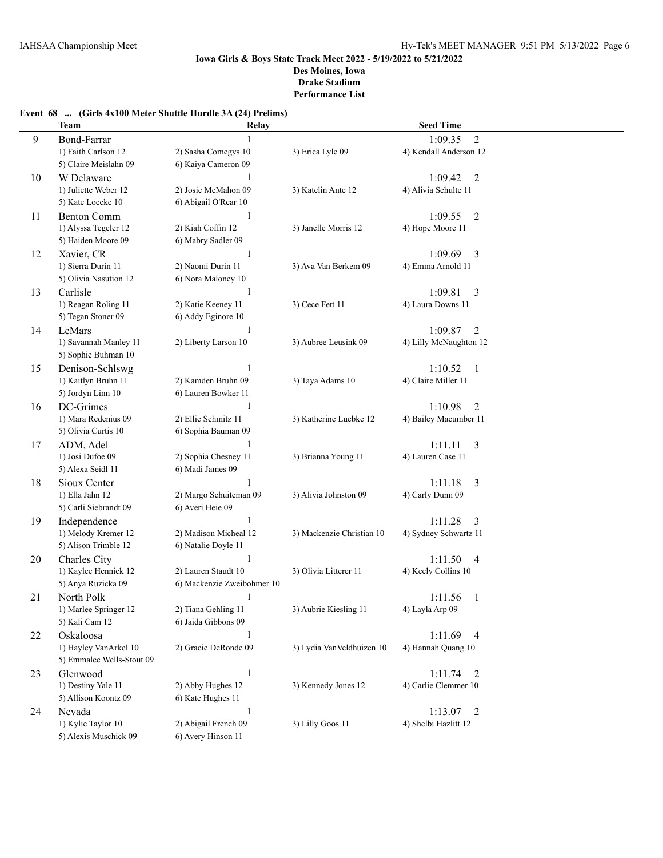# **Event 68 ... (Girls 4x100 Meter Shuttle Hurdle 3A (24) Prelims)**

|    | <b>Team</b>                             | Relay                                      |                           | <b>Seed Time</b>                                  |  |
|----|-----------------------------------------|--------------------------------------------|---------------------------|---------------------------------------------------|--|
| 9  | <b>Bond-Farrar</b>                      | $\mathbf{1}$                               |                           | $\overline{2}$<br>1:09.35                         |  |
|    | 1) Faith Carlson 12                     | 2) Sasha Comegys 10                        | 3) Erica Lyle 09          | 4) Kendall Anderson 12                            |  |
|    | 5) Claire Meislahn 09                   | 6) Kaiya Cameron 09                        |                           |                                                   |  |
| 10 | W Delaware                              | 1                                          |                           | 1:09.42<br>2                                      |  |
|    | 1) Juliette Weber 12                    | 2) Josie McMahon 09                        | 3) Katelin Ante 12        | 4) Alivia Schulte 11                              |  |
|    | 5) Kate Loecke 10                       | 6) Abigail O'Rear 10                       |                           |                                                   |  |
| 11 | <b>Benton Comm</b>                      | 1                                          |                           | 1:09.55<br>$\overline{2}$                         |  |
|    | 1) Alyssa Tegeler 12                    | 2) Kiah Coffin 12                          | 3) Janelle Morris 12      | 4) Hope Moore 11                                  |  |
|    | 5) Haiden Moore 09                      | 6) Mabry Sadler 09                         |                           |                                                   |  |
| 12 | Xavier, CR                              | 1                                          |                           | 1:09.69<br>3                                      |  |
|    | 1) Sierra Durin 11                      | 2) Naomi Durin 11                          | 3) Ava Van Berkem 09      | 4) Emma Arnold 11                                 |  |
|    | 5) Olivia Nasution 12                   | 6) Nora Maloney 10                         |                           |                                                   |  |
| 13 | Carlisle                                | 1                                          |                           | 1:09.81<br>3                                      |  |
|    | 1) Reagan Roling 11                     | 2) Katie Keeney 11                         | 3) Cece Fett 11           | 4) Laura Downs 11                                 |  |
|    | 5) Tegan Stoner 09                      | 6) Addy Eginore 10                         |                           |                                                   |  |
| 14 | LeMars                                  | 1                                          |                           | 1:09.87<br>$\overline{2}$                         |  |
|    | 1) Savannah Manley 11                   | 2) Liberty Larson 10                       | 3) Aubree Leusink 09      | 4) Lilly McNaughton 12                            |  |
|    | 5) Sophie Buhman 10                     |                                            |                           |                                                   |  |
| 15 | Denison-Schlswg                         | 1                                          |                           | 1:10.52<br>1                                      |  |
|    | 1) Kaitlyn Bruhn 11                     | 2) Kamden Bruhn 09                         | 3) Taya Adams 10          | 4) Claire Miller 11                               |  |
|    | 5) Jordyn Linn 10                       | 6) Lauren Bowker 11                        |                           |                                                   |  |
|    | DC-Grimes                               | $\mathbf{1}$                               |                           | 1:10.98<br>2                                      |  |
| 16 | 1) Mara Redenius 09                     | 2) Ellie Schmitz 11                        | 3) Katherine Luebke 12    | 4) Bailey Macumber 11                             |  |
|    | 5) Olivia Curtis 10                     | 6) Sophia Bauman 09                        |                           |                                                   |  |
| 17 | ADM, Adel                               | $\mathbf{1}$                               |                           | 1:11.11<br>3                                      |  |
|    | 1) Josi Dufoe 09                        | 2) Sophia Chesney 11                       | 3) Brianna Young 11       | 4) Lauren Case 11                                 |  |
|    | 5) Alexa Seidl 11                       | 6) Madi James 09                           |                           |                                                   |  |
| 18 | Sioux Center                            | 1                                          |                           | 1:11.18                                           |  |
|    | 1) Ella Jahn 12                         | 2) Margo Schuiteman 09                     | 3) Alivia Johnston 09     | 3<br>4) Carly Dunn 09                             |  |
|    | 5) Carli Siebrandt 09                   | 6) Averi Heie 09                           |                           |                                                   |  |
| 19 |                                         | $\mathbf{1}$                               |                           | 1:11.28                                           |  |
|    | Independence<br>1) Melody Kremer 12     | 2) Madison Micheal 12                      | 3) Mackenzie Christian 10 | 3<br>4) Sydney Schwartz 11                        |  |
|    | 5) Alison Trimble 12                    | 6) Natalie Doyle 11                        |                           |                                                   |  |
|    | Charles City                            | 1                                          |                           |                                                   |  |
| 20 | 1) Kaylee Hennick 12                    | 2) Lauren Staudt 10                        | 3) Olivia Litterer 11     | 1:11.50<br>4<br>4) Keely Collins 10               |  |
|    | 5) Anya Ruzicka 09                      | 6) Mackenzie Zweibohmer 10                 |                           |                                                   |  |
| 21 | North Polk                              | 1                                          |                           | 1:11.56<br>1                                      |  |
|    |                                         |                                            | 3) Aubrie Kiesling 11     |                                                   |  |
|    | 1) Marlee Springer 12<br>5) Kali Cam 12 | 2) Tiana Gehling 11<br>6) Jaida Gibbons 09 |                           | 4) Layla Arp 09                                   |  |
|    | Oskaloosa                               | $\mathbf{1}$                               |                           | 1:11.69                                           |  |
| 22 | 1) Hayley VanArkel 10                   | 2) Gracie DeRonde 09                       | 3) Lydia VanVeldhuizen 10 | $\overline{4}$<br>4) Hannah Quang 10              |  |
|    | 5) Emmalee Wells-Stout 09               |                                            |                           |                                                   |  |
|    |                                         |                                            |                           |                                                   |  |
| 23 | Glenwood<br>1) Destiny Yale 11          | $\mathbf{1}$<br>2) Abby Hughes 12          |                           | 1:11.74<br>$\overline{2}$<br>4) Carlie Clemmer 10 |  |
|    | 5) Allison Koontz 09                    | 6) Kate Hughes 11                          | 3) Kennedy Jones 12       |                                                   |  |
|    |                                         |                                            |                           |                                                   |  |
| 24 | Nevada                                  | $\mathbf{1}$<br>2) Abigail French 09       |                           | 1:13.07<br>2                                      |  |
|    | 1) Kylie Taylor 10                      | 6) Avery Hinson 11                         | 3) Lilly Goos 11          | 4) Shelbi Hazlitt 12                              |  |
|    | 5) Alexis Muschick 09                   |                                            |                           |                                                   |  |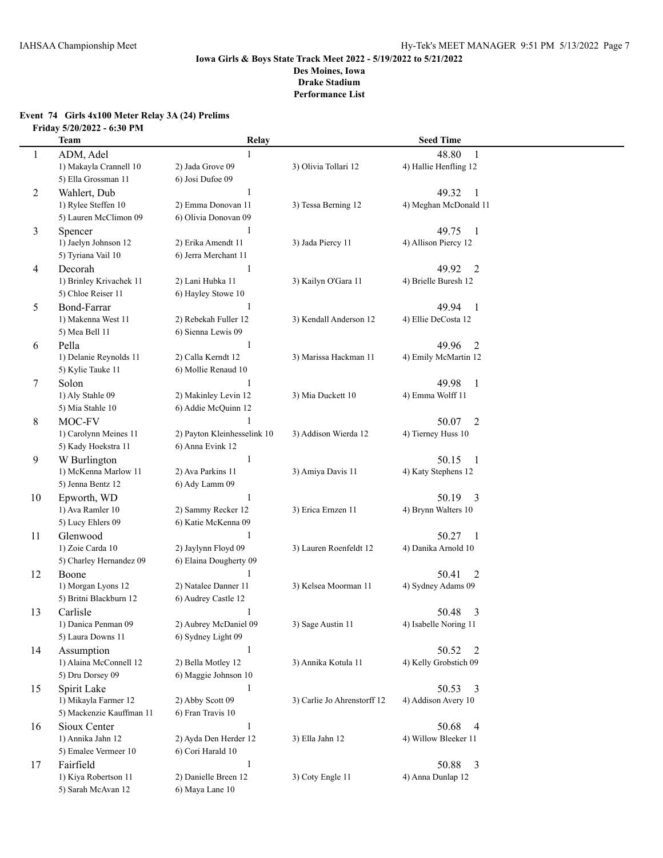# **Event 74 Girls 4x100 Meter Relay 3A (24) Prelims Friday 5/20/2022 - 6:30 PM**

|    | <b>Team</b>                                  | Relay                                           |                             | <b>Seed Time</b>                             |  |
|----|----------------------------------------------|-------------------------------------------------|-----------------------------|----------------------------------------------|--|
| 1  | ADM, Adel                                    |                                                 |                             | 48.80<br>1                                   |  |
|    | 1) Makayla Crannell 10                       | 2) Jada Grove 09                                | 3) Olivia Tollari 12        | 4) Hallie Henfling 12                        |  |
|    | 5) Ella Grossman 11                          | 6) Josi Dufoe 09                                |                             |                                              |  |
| 2  | Wahlert, Dub                                 | 1                                               |                             | 49.32<br>-1                                  |  |
|    | 1) Rylee Steffen 10                          | 2) Emma Donovan 11                              | 3) Tessa Berning 12         | 4) Meghan McDonald 11                        |  |
|    | 5) Lauren McClimon 09                        | 6) Olivia Donovan 09                            |                             |                                              |  |
| 3  | Spencer                                      | 1                                               |                             | 49.75<br>$\overline{1}$                      |  |
|    | 1) Jaelyn Johnson 12                         | 2) Erika Amendt 11                              | 3) Jada Piercy 11           | 4) Allison Piercy 12                         |  |
|    | 5) Tyriana Vail 10                           | 6) Jerra Merchant 11                            |                             |                                              |  |
| 4  | Decorah                                      | 1                                               |                             | $\overline{2}$<br>49.92                      |  |
|    | 1) Brinley Krivachek 11                      | 2) Lani Hubka 11                                | 3) Kailyn O'Gara 11         | 4) Brielle Buresh 12                         |  |
|    | 5) Chloe Reiser 11                           | 6) Hayley Stowe 10                              |                             |                                              |  |
| 5  | <b>Bond-Farrar</b>                           | -1                                              |                             | 49.94<br>$\mathbf{1}$                        |  |
|    | 1) Makenna West 11                           | 2) Rebekah Fuller 12                            | 3) Kendall Anderson 12      | 4) Ellie DeCosta 12                          |  |
|    | 5) Mea Bell 11                               | 6) Sienna Lewis 09                              |                             |                                              |  |
| 6  | Pella                                        | 1                                               |                             | 49.96<br>2                                   |  |
|    | 1) Delanie Reynolds 11                       | 2) Calla Kerndt 12                              | 3) Marissa Hackman 11       | 4) Emily McMartin 12                         |  |
|    | 5) Kylie Tauke 11                            | 6) Mollie Renaud 10                             |                             |                                              |  |
| 7  | Solon                                        | 1                                               |                             | 49.98<br>$\mathbf{1}$                        |  |
|    | 1) Aly Stahle 09                             | 2) Makinley Levin 12                            | 3) Mia Duckett 10           | 4) Emma Wolff 11                             |  |
|    | 5) Mia Stahle 10                             | 6) Addie McQuinn 12                             |                             |                                              |  |
| 8  | MOC-FV                                       |                                                 |                             | 50.07<br>2                                   |  |
|    | 1) Carolynn Meines 11<br>5) Kady Hoekstra 11 | 2) Payton Kleinhesselink 10<br>6) Anna Evink 12 | 3) Addison Wierda 12        | 4) Tierney Huss 10                           |  |
|    |                                              |                                                 |                             |                                              |  |
| 9  | W Burlington<br>1) McKenna Marlow 11         | $\mathbf{1}$<br>2) Ava Parkins 11               | 3) Amiya Davis 11           | 50.15<br>$\mathbf{1}$<br>4) Katy Stephens 12 |  |
|    | 5) Jenna Bentz 12                            | 6) Ady Lamm 09                                  |                             |                                              |  |
| 10 | Epworth, WD                                  | 1                                               |                             | 50.19<br>3                                   |  |
|    | 1) Ava Ramler 10                             | 2) Sammy Recker 12                              | 3) Erica Ernzen 11          | 4) Brynn Walters 10                          |  |
|    | 5) Lucy Ehlers 09                            | 6) Katie McKenna 09                             |                             |                                              |  |
| 11 | Glenwood                                     | $\mathbf{1}$                                    |                             | 50.27<br>-1                                  |  |
|    | 1) Zoie Carda 10                             | 2) Jaylynn Floyd 09                             | 3) Lauren Roenfeldt 12      | 4) Danika Arnold 10                          |  |
|    | 5) Charley Hernandez 09                      | 6) Elaina Dougherty 09                          |                             |                                              |  |
| 12 | Boone                                        |                                                 |                             | 50.41<br>$\overline{2}$                      |  |
|    | 1) Morgan Lyons 12                           | 2) Natalee Danner 11                            | 3) Kelsea Moorman 11        | 4) Sydney Adams 09                           |  |
|    | 5) Britni Blackburn 12                       | 6) Audrey Castle 12                             |                             |                                              |  |
| 13 | Carlisle                                     | 1                                               |                             | 50.48<br>3                                   |  |
|    | 1) Danica Penman 09                          | 2) Aubrey McDaniel 09                           | 3) Sage Austin 11           | 4) Isabelle Noring 11                        |  |
|    | 5) Laura Downs 11                            | 6) Sydney Light 09                              |                             |                                              |  |
| 14 | Assumption                                   | $\mathbf{1}$                                    |                             | 50.52 2                                      |  |
|    | 1) Alaina McConnell 12                       | 2) Bella Motley 12                              | 3) Annika Kotula 11         | 4) Kelly Grobstich 09                        |  |
|    | 5) Dru Dorsey 09                             | 6) Maggie Johnson 10                            |                             |                                              |  |
| 15 | Spirit Lake                                  | 1                                               |                             | 50.53<br>$\overline{\mathbf{3}}$             |  |
|    | 1) Mikayla Farmer 12                         | 2) Abby Scott 09                                | 3) Carlie Jo Ahrenstorff 12 | 4) Addison Avery 10                          |  |
|    | 5) Mackenzie Kauffman 11                     | 6) Fran Travis 10                               |                             |                                              |  |
| 16 | Sioux Center                                 | $\mathbf{1}$                                    |                             | 50.68<br>$\overline{4}$                      |  |
|    | 1) Annika Jahn 12                            | 2) Ayda Den Herder 12                           | 3) Ella Jahn 12             | 4) Willow Bleeker 11                         |  |
|    | 5) Emalee Vermeer 10                         | 6) Cori Harald 10                               |                             |                                              |  |
| 17 | Fairfield                                    | $\mathbf{1}$                                    |                             | 50.88<br>3                                   |  |
|    | 1) Kiya Robertson 11<br>5) Sarah McAvan 12   | 2) Danielle Breen 12<br>6) Maya Lane 10         | 3) Coty Engle 11            | 4) Anna Dunlap 12                            |  |
|    |                                              |                                                 |                             |                                              |  |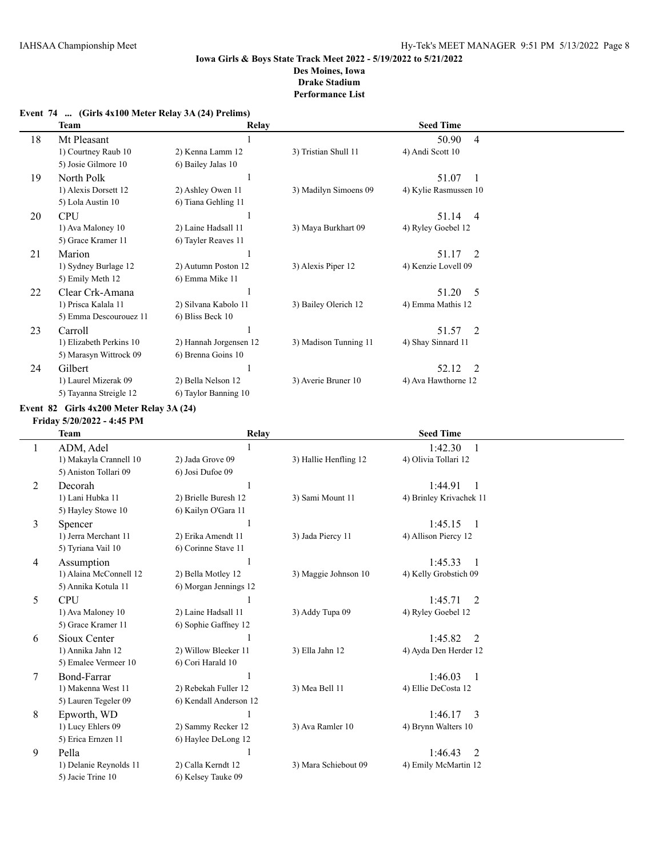|  | Event 74  (Girls 4x100 Meter Relay 3A (24) Prelims) |  |  |
|--|-----------------------------------------------------|--|--|
|--|-----------------------------------------------------|--|--|

|    | Team                    | <b>Relay</b>           |                       | <b>Seed Time</b>        |  |
|----|-------------------------|------------------------|-----------------------|-------------------------|--|
| 18 | Mt Pleasant             |                        |                       | 50.90<br>4              |  |
|    | 1) Courtney Raub 10     | 2) Kenna Lamm 12       | 3) Tristian Shull 11  | 4) Andi Scott 10        |  |
|    | 5) Josie Gilmore 10     | 6) Bailey Jalas 10     |                       |                         |  |
| 19 | North Polk              |                        |                       | 51.07                   |  |
|    | 1) Alexis Dorsett 12    | 2) Ashley Owen 11      | 3) Madilyn Simoens 09 | 4) Kylie Rasmussen 10   |  |
|    | 5) Lola Austin 10       | 6) Tiana Gehling 11    |                       |                         |  |
| 20 | <b>CPU</b>              |                        |                       | 51.14<br>$\overline{4}$ |  |
|    | 1) Ava Maloney 10       | 2) Laine Hadsall 11    | 3) Maya Burkhart 09   | 4) Ryley Goebel 12      |  |
|    | 5) Grace Kramer 11      | 6) Tayler Reaves 11    |                       |                         |  |
| 21 | Marion                  |                        |                       | 51.17<br>- 2            |  |
|    | 1) Sydney Burlage 12    | 2) Autumn Poston 12    | 3) Alexis Piper 12    | 4) Kenzie Lovell 09     |  |
|    | 5) Emily Meth 12        | 6) Emma Mike 11        |                       |                         |  |
| 22 | Clear Crk-Amana         |                        |                       | 51.20<br>5              |  |
|    | 1) Prisca Kalala 11     | 2) Silvana Kabolo 11   | 3) Bailey Olerich 12  | 4) Emma Mathis 12       |  |
|    | 5) Emma Descourouez 11  | 6) Bliss Beck 10       |                       |                         |  |
| 23 | Carroll                 |                        |                       | 51.57<br>2              |  |
|    | 1) Elizabeth Perkins 10 | 2) Hannah Jorgensen 12 | 3) Madison Tunning 11 | 4) Shay Sinnard 11      |  |
|    | 5) Marasyn Wittrock 09  | 6) Brenna Goins 10     |                       |                         |  |
| 24 | Gilbert                 |                        |                       | 52.12<br>$\overline{2}$ |  |
|    | 1) Laurel Mizerak 09    | 2) Bella Nelson 12     | 3) Averie Bruner 10   | 4) Ava Hawthorne 12     |  |
|    | 5) Tayanna Streigle 12  | 6) Taylor Banning 10   |                       |                         |  |

#### **Event 82 Girls 4x200 Meter Relay 3A (24)**

**Friday 5/20/2022 - 4:45 PM**

|        | <b>Team</b>            | Relay                  |                       | <b>Seed Time</b>          |  |
|--------|------------------------|------------------------|-----------------------|---------------------------|--|
|        | ADM, Adel              |                        |                       | 1:42.30                   |  |
|        | 1) Makayla Crannell 10 | 2) Jada Grove 09       | 3) Hallie Henfling 12 | 4) Olivia Tollari 12      |  |
|        | 5) Aniston Tollari 09  | 6) Josi Dufoe 09       |                       |                           |  |
| 2      | Decorah                |                        |                       | 1:44.91                   |  |
|        | 1) Lani Hubka 11       | 2) Brielle Buresh 12   | 3) Sami Mount 11      | 4) Brinley Krivachek 11   |  |
|        | 5) Hayley Stowe 10     | 6) Kailyn O'Gara 11    |                       |                           |  |
| 3      | Spencer                |                        |                       | 1:45.15<br>$\overline{1}$ |  |
|        | 1) Jerra Merchant 11   | 2) Erika Amendt 11     | 3) Jada Piercy 11     | 4) Allison Piercy 12      |  |
|        | 5) Tyriana Vail 10     | 6) Corinne Stave 11    |                       |                           |  |
| 4      | Assumption             |                        |                       | 1:45.33<br>$\overline{1}$ |  |
|        | 1) Alaina McConnell 12 | 2) Bella Motley 12     | 3) Maggie Johnson 10  | 4) Kelly Grobstich 09     |  |
|        | 5) Annika Kotula 11    | 6) Morgan Jennings 12  |                       |                           |  |
| 5      | <b>CPU</b>             |                        |                       | 1:45.71<br>2              |  |
|        | 1) Ava Maloney 10      | 2) Laine Hadsall 11    | 3) Addy Tupa 09       | 4) Ryley Goebel 12        |  |
|        | 5) Grace Kramer 11     | 6) Sophie Gaffney 12   |                       |                           |  |
| 6      | Sioux Center           |                        |                       | 1:45.82<br>$\mathfrak{D}$ |  |
|        | 1) Annika Jahn 12      | 2) Willow Bleeker 11   | 3) Ella Jahn 12       | 4) Ayda Den Herder 12     |  |
|        | 5) Emalee Vermeer 10   | 6) Cori Harald 10      |                       |                           |  |
| $\tau$ | Bond-Farrar            |                        |                       | 1:46.03<br>$\overline{1}$ |  |
|        | 1) Makenna West 11     | 2) Rebekah Fuller 12   | 3) Mea Bell 11        | 4) Ellie DeCosta 12       |  |
|        | 5) Lauren Tegeler 09   | 6) Kendall Anderson 12 |                       |                           |  |
| 8      | Epworth, WD            |                        |                       | 1:46.17<br>$\mathcal{E}$  |  |
|        | 1) Lucy Ehlers 09      | 2) Sammy Recker 12     | 3) Ava Ramler 10      | 4) Brynn Walters 10       |  |
|        | 5) Erica Ernzen 11     | 6) Haylee DeLong 12    |                       |                           |  |
| 9      | Pella                  |                        |                       | 1:46.43<br>2              |  |
|        | 1) Delanie Reynolds 11 | 2) Calla Kerndt 12     | 3) Mara Schiebout 09  | 4) Emily McMartin 12      |  |
|        | 5) Jacie Trine 10      | 6) Kelsey Tauke 09     |                       |                           |  |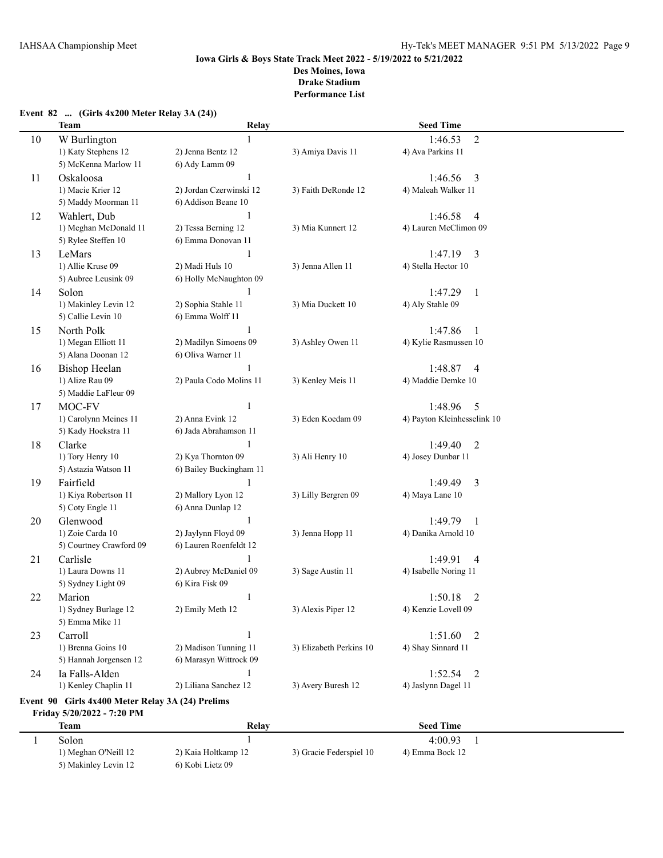# **Event 82 ... (Girls 4x200 Meter Relay 3A (24)) Team Relay Seed Time** 10 W Burlington 1 1:46.53 2 1) Katy Stephens 12 2) Jenna Bentz 12 3) Amiya Davis 11 4) Ava Parkins 11 5) McKenna Marlow 11 6) Ady Lamm 09 11 Oskaloosa 1 1:46.56 3 1) Macie Krier 12 2) Jordan Czerwinski 12 3) Faith DeRonde 12 4) Maleah Walker 11 5) Maddy Moorman 11 6) Addison Beane 10 12 Wahlert, Dub 1:46.58 4 1) Meghan McDonald 11 2) Tessa Berning 12 3) Mia Kunnert 12 4) Lauren McClimon 09 5) Rylee Steffen 10 6) Emma Donovan 11 13 LeMars 1 1:47.19 3 1) Allie Kruse 09 2) Madi Huls 10 3) Jenna Allen 11 4) Stella Hector 10 5) Aubree Leusink 09 6) Holly McNaughton 09 14 Solon 1 1:47.29 1 1) Makinley Levin 12 2) Sophia Stahle 11 3) Mia Duckett 10 4) Aly Stahle 09 5) Callie Levin 10 6) Emma Wolff 11 15 North Polk 1 1:47.86 1 1) Megan Elliott 11 2) Madilyn Simoens 09 3) Ashley Owen 11 4) Kylie Rasmussen 10 5) Alana Doonan 12 6) Oliva Warner 11 16 Bishop Heelan 1:48.87 4 1) Alize Rau 09 2) Paula Codo Molins 11 3) Kenley Meis 11 4) Maddie Demke 10 5) Maddie LaFleur 09 17 MOC-FV 1 1:48.96 5 1) Carolynn Meines 11 2) Anna Evink 12 3) Eden Koedam 09 4) Payton Kleinhesselink 10 5) Kady Hoekstra 11 6) Jada Abrahamson 11 18 Clarke 1 1:49.40 2 1) Tory Henry 10 2) Kya Thornton 09 3) Ali Henry 10 4) Josey Dunbar 11 5) Astazia Watson 11 6) Bailey Buckingham 11 19 Fairfield 1 1:49.49 3 1) Kiya Robertson 11 2) Mallory Lyon 12 3) Lilly Bergren 09 4) Maya Lane 10 5) Coty Engle 11 6) Anna Dunlap 12 20 Glenwood 1 1:49.79 1 1) Zoie Carda 10 2) Jaylynn Floyd 09 3) Jenna Hopp 11 4) Danika Arnold 10 5) Courtney Crawford 09 6) Lauren Roenfeldt 12 21 Carlisle 1 1:49.91 4 1) Laura Downs 11 2) Aubrey McDaniel 09 3) Sage Austin 11 4) Isabelle Noring 11 5) Sydney Light 09 6) Kira Fisk 09 22 Marion 1 1:50.18 2 1) Sydney Burlage 12 2) Emily Meth 12 3) Alexis Piper 12 4) Kenzie Lovell 09 5) Emma Mike 11 23 Carroll 1 1:51.60 2 1) Brenna Goins 10 2) Madison Tunning 11 3) Elizabeth Perkins 10 4) Shay Sinnard 11 5) Hannah Jorgensen 12 6) Marasyn Wittrock 09 24 Ia Falls-Alden 1 1 1:52.54 2 1) Kenley Chaplin 11 2) Liliana Sanchez 12 3) Avery Buresh 12 4) Jaslynn Dagel 11 **Event 90 Girls 4x400 Meter Relay 3A (24) Prelims**

#### **Friday 5/20/2022 - 7:20 PM Team Seed Time** 1 Solon 1 4:00.93 1 1) Meghan O'Neill 12 2) Kaia Holtkamp 12 3) Gracie Federspiel 10 4) Emma Bock 12

5) Makinley Levin 12 6) Kobi Lietz 09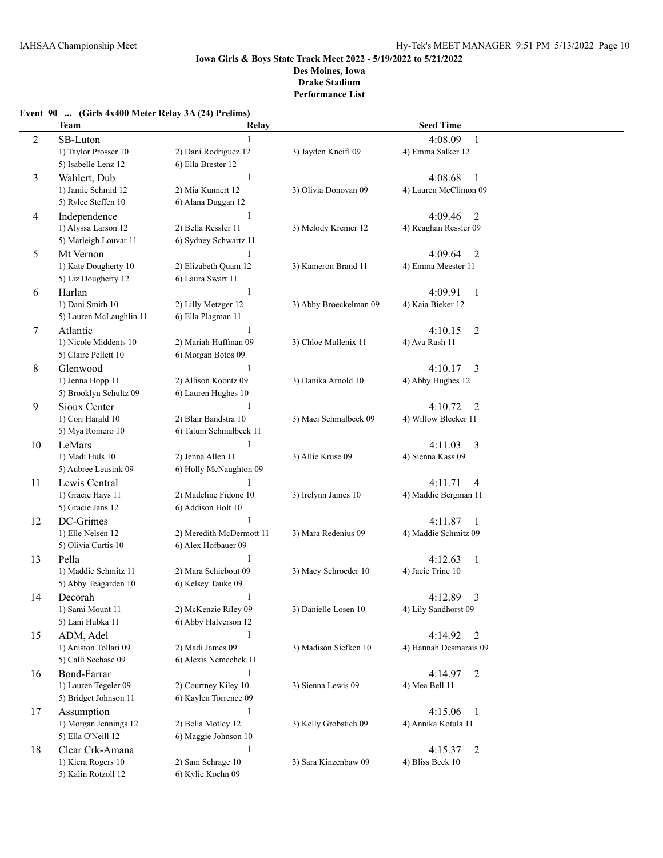# **Event 90 ... (Girls 4x400 Meter Relay 3A (24) Prelims)**

|                | <b>Team</b>                | Relay                     |                        | <b>Seed Time</b>                  |  |
|----------------|----------------------------|---------------------------|------------------------|-----------------------------------|--|
| $\overline{c}$ | SB-Luton                   |                           |                        | 4:08.09<br>$\mathbf{1}$           |  |
|                | 1) Taylor Prosser 10       | 2) Dani Rodriguez 12      | 3) Jayden Kneifl 09    | 4) Emma Salker 12                 |  |
|                | 5) Isabelle Lenz 12        | 6) Ella Brester 12        |                        |                                   |  |
| 3              | Wahlert, Dub               | $\mathbf{1}$              |                        | 4:08.68<br>1                      |  |
|                | 1) Jamie Schmid 12         | 2) Mia Kunnert 12         | 3) Olivia Donovan 09   | 4) Lauren McClimon 09             |  |
|                | 5) Rylee Steffen 10        | 6) Alana Duggan 12        |                        |                                   |  |
| 4              | Independence               | $\mathbf{1}$              |                        | 4:09.46<br>2                      |  |
|                | 1) Alyssa Larson 12        | 2) Bella Ressler 11       | 3) Melody Kremer 12    | 4) Reaghan Ressler 09             |  |
|                | 5) Marleigh Louvar 11      | 6) Sydney Schwartz 11     |                        |                                   |  |
| 5              | Mt Vernon                  | 1                         |                        | 4:09.64<br>$\overline{2}$         |  |
|                | 1) Kate Dougherty 10       | 2) Elizabeth Quam 12      | 3) Kameron Brand 11    | 4) Emma Meester 11                |  |
|                | 5) Liz Dougherty 12        | 6) Laura Swart 11         |                        |                                   |  |
|                |                            | $\mathbf{1}$              |                        |                                   |  |
| 6              | Harlan<br>1) Dani Smith 10 | 2) Lilly Metzger 12       | 3) Abby Broeckelman 09 | 4:09.91<br>1<br>4) Kaia Bieker 12 |  |
|                |                            | 6) Ella Plagman 11        |                        |                                   |  |
|                | 5) Lauren McLaughlin 11    |                           |                        |                                   |  |
| 7              | Atlantic                   | 1<br>2) Mariah Huffman 09 | 3) Chloe Mullenix 11   | 4:10.15<br>2                      |  |
|                | 1) Nicole Middents 10      |                           |                        | 4) Ava Rush 11                    |  |
|                | 5) Claire Pellett 10       | 6) Morgan Botos 09        |                        |                                   |  |
| 8              | Glenwood                   |                           |                        | 4:10.17<br>3                      |  |
|                | 1) Jenna Hopp 11           | 2) Allison Koontz 09      | 3) Danika Arnold 10    | 4) Abby Hughes 12                 |  |
|                | 5) Brooklyn Schultz 09     | 6) Lauren Hughes 10       |                        |                                   |  |
| 9              | Sioux Center               | 1                         |                        | 4:10.72<br>2                      |  |
|                | 1) Cori Harald 10          | 2) Blair Bandstra 10      | 3) Maci Schmalbeck 09  | 4) Willow Bleeker 11              |  |
|                | 5) Mya Romero 10           | 6) Tatum Schmalbeck 11    |                        |                                   |  |
| 10             | LeMars                     | $\mathbf{1}$              |                        | 3<br>4:11.03                      |  |
|                | 1) Madi Huls 10            | 2) Jenna Allen 11         | 3) Allie Kruse 09      | 4) Sienna Kass 09                 |  |
|                | 5) Aubree Leusink 09       | 6) Holly McNaughton 09    |                        |                                   |  |
| 11             | Lewis Central              | 1                         |                        | 4:11.71<br>4                      |  |
|                | 1) Gracie Hays 11          | 2) Madeline Fidone 10     | 3) Irelynn James 10    | 4) Maddie Bergman 11              |  |
|                | 5) Gracie Jans 12          | 6) Addison Holt 10        |                        |                                   |  |
| 12             | DC-Grimes                  | $\mathbf{1}$              |                        | 4:11.87<br>1                      |  |
|                | 1) Elle Nelsen 12          | 2) Meredith McDermott 11  | 3) Mara Redenius 09    | 4) Maddie Schmitz 09              |  |
|                | 5) Olivia Curtis 10        | 6) Alex Hofbauer 09       |                        |                                   |  |
| 13             | Pella                      | 1                         |                        | 4:12.63<br>$\mathbf{1}$           |  |
|                | 1) Maddie Schmitz 11       | 2) Mara Schiebout 09      | 3) Macy Schroeder 10   | 4) Jacie Trine 10                 |  |
|                | 5) Abby Teagarden 10       | 6) Kelsey Tauke 09        |                        |                                   |  |
| 14             | Decorah                    | 1                         |                        | 3<br>4:12.89                      |  |
|                | 1) Sami Mount 11           | 2) McKenzie Riley 09      | 3) Danielle Losen 10   | 4) Lily Sandhorst 09              |  |
|                | 5) Lani Hubka 11           | 6) Abby Halverson 12      |                        |                                   |  |
| 15             | ADM, Adel                  | $\mathbf{1}$              |                        | 4:14.92<br>2                      |  |
|                | 1) Aniston Tollari 09      | 2) Madi James 09          | 3) Madison Siefken 10  | 4) Hannah Desmarais 09            |  |
|                | 5) Calli Seehase 09        | 6) Alexis Nemechek 11     |                        |                                   |  |
| 16             | Bond-Farrar                | $\mathbf{1}$              |                        | 4:14.97<br>$\overline{2}$         |  |
|                | 1) Lauren Tegeler 09       | 2) Courtney Kiley 10      | 3) Sienna Lewis 09     | 4) Mea Bell 11                    |  |
|                | 5) Bridget Johnson 11      | 6) Kaylen Torrence 09     |                        |                                   |  |
| 17             | Assumption                 | $\mathbf{1}$              |                        | 4:15.06<br>1                      |  |
|                | 1) Morgan Jennings 12      | 2) Bella Motley 12        | 3) Kelly Grobstich 09  | 4) Annika Kotula 11               |  |
|                | 5) Ella O'Neill 12         | 6) Maggie Johnson 10      |                        |                                   |  |
| 18             | Clear Crk-Amana            | $\mathbf{1}$              |                        | 4:15.37<br>2                      |  |
|                | 1) Kiera Rogers 10         | 2) Sam Schrage 10         | 3) Sara Kinzenbaw 09   | 4) Bliss Beck 10                  |  |
|                | 5) Kalin Rotzoll 12        | 6) Kylie Koehn 09         |                        |                                   |  |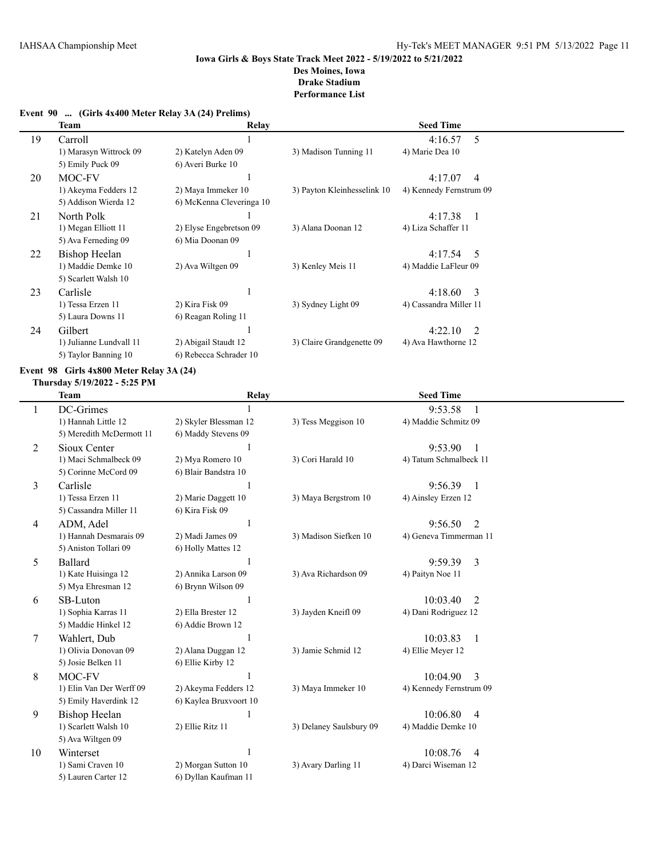**Event 90 ... (Girls 4x400 Meter Relay 3A (24) Prelims)**

|    | Team                    | Relay                    |                             | <b>Seed Time</b>        |  |
|----|-------------------------|--------------------------|-----------------------------|-------------------------|--|
| 19 | Carroll                 |                          |                             | 4:16.57<br>5            |  |
|    | 1) Marasyn Wittrock 09  | 2) Katelyn Aden 09       | 3) Madison Tunning 11       | 4) Marie Dea 10         |  |
|    | 5) Emily Puck 09        | 6) Averi Burke 10        |                             |                         |  |
| 20 | MOC-FV                  |                          |                             | 4:17.07<br>4            |  |
|    | 1) Akeyma Fedders 12    | 2) Maya Immeker 10       | 3) Payton Kleinhesselink 10 | 4) Kennedy Fernstrum 09 |  |
|    | 5) Addison Wierda 12    | 6) McKenna Cleveringa 10 |                             |                         |  |
| 21 | North Polk              |                          |                             | 4:17.38                 |  |
|    | 1) Megan Elliott 11     | 2) Elyse Engebretson 09  | 3) Alana Doonan 12          | 4) Liza Schaffer 11     |  |
|    | 5) Ava Ferneding 09     | 6) Mia Doonan 09         |                             |                         |  |
| 22 | Bishop Heelan           |                          |                             | $4:17.54$ 5             |  |
|    | 1) Maddie Demke 10      | 2) Ava Wiltgen 09        | 3) Kenley Meis 11           | 4) Maddie LaFleur 09    |  |
|    | 5) Scarlett Walsh 10    |                          |                             |                         |  |
| 23 | Carlisle                |                          |                             | 4:18.60<br>3            |  |
|    | 1) Tessa Erzen 11       | 2) Kira Fisk 09          | 3) Sydney Light 09          | 4) Cassandra Miller 11  |  |
|    | 5) Laura Downs 11       | 6) Reagan Roling 11      |                             |                         |  |
| 24 | Gilbert                 |                          |                             | 4:22.10<br>2            |  |
|    | 1) Julianne Lundvall 11 | 2) Abigail Staudt 12     | 3) Claire Grandgenette 09   | 4) Ava Hawthorne 12     |  |
|    | 5) Taylor Banning 10    | 6) Rebecca Schrader 10   |                             |                         |  |

### **Event 98 Girls 4x800 Meter Relay 3A (24)**

#### **Thursday 5/19/2022 - 5:25 PM**

| <b>Team</b>              | Relay                  |                         | <b>Seed Time</b>           |  |
|--------------------------|------------------------|-------------------------|----------------------------|--|
| DC-Grimes                |                        |                         | 9:53.58                    |  |
| 1) Hannah Little 12      | 2) Skyler Blessman 12  | 3) Tess Meggison 10     | 4) Maddie Schmitz 09       |  |
| 5) Meredith McDermott 11 | 6) Maddy Stevens 09    |                         |                            |  |
| Sioux Center             |                        |                         | 9:53.90                    |  |
| 1) Maci Schmalbeck 09    | 2) Mya Romero 10       | 3) Cori Harald 10       | 4) Tatum Schmalbeck 11     |  |
| 5) Corinne McCord 09     | 6) Blair Bandstra 10   |                         |                            |  |
| Carlisle                 |                        |                         | 9:56.39<br>$\overline{1}$  |  |
| 1) Tessa Erzen 11        | 2) Marie Daggett 10    | 3) Maya Bergstrom 10    | 4) Ainsley Erzen 12        |  |
| 5) Cassandra Miller 11   | 6) Kira Fisk 09        |                         |                            |  |
| ADM, Adel                |                        |                         | $\mathfrak{D}$<br>9:56.50  |  |
| 1) Hannah Desmarais 09   | 2) Madi James 09       | 3) Madison Siefken 10   | 4) Geneva Timmerman 11     |  |
| 5) Aniston Tollari 09    | 6) Holly Mattes 12     |                         |                            |  |
| Ballard                  |                        |                         | 9:59.39<br>3               |  |
| 1) Kate Huisinga 12      | 2) Annika Larson 09    | 3) Ava Richardson 09    | 4) Paityn Noe 11           |  |
| 5) Mya Ehresman 12       | 6) Brynn Wilson 09     |                         |                            |  |
| SB-Luton                 |                        |                         | 10:03.40<br>2              |  |
| 1) Sophia Karras 11      | 2) Ella Brester 12     | 3) Jayden Kneifl 09     | 4) Dani Rodriguez 12       |  |
| 5) Maddie Hinkel 12      | 6) Addie Brown 12      |                         |                            |  |
| Wahlert, Dub             | 1                      |                         | 10:03.83<br>$\overline{1}$ |  |
| 1) Olivia Donovan 09     | 2) Alana Duggan 12     | 3) Jamie Schmid 12      | 4) Ellie Meyer 12          |  |
| 5) Josie Belken 11       | 6) Ellie Kirby 12      |                         |                            |  |
| MOC-FV                   |                        |                         | 3<br>10:04.90              |  |
| 1) Elin Van Der Werff 09 | 2) Akeyma Fedders 12   | 3) Maya Immeker 10      | 4) Kennedy Fernstrum 09    |  |
| 5) Emily Haverdink 12    | 6) Kaylea Bruxvoort 10 |                         |                            |  |
| <b>Bishop Heelan</b>     |                        |                         | 10:06.80<br>$\overline{4}$ |  |
| 1) Scarlett Walsh 10     | 2) Ellie Ritz 11       | 3) Delaney Saulsbury 09 | 4) Maddie Demke 10         |  |
| 5) Ava Wiltgen 09        |                        |                         |                            |  |
| Winterset                |                        |                         | 10:08.76<br>$\overline{4}$ |  |
| 1) Sami Craven 10        | 2) Morgan Sutton 10    | 3) Avary Darling 11     | 4) Darci Wiseman 12        |  |
| 5) Lauren Carter 12      | 6) Dyllan Kaufman 11   |                         |                            |  |
|                          |                        |                         |                            |  |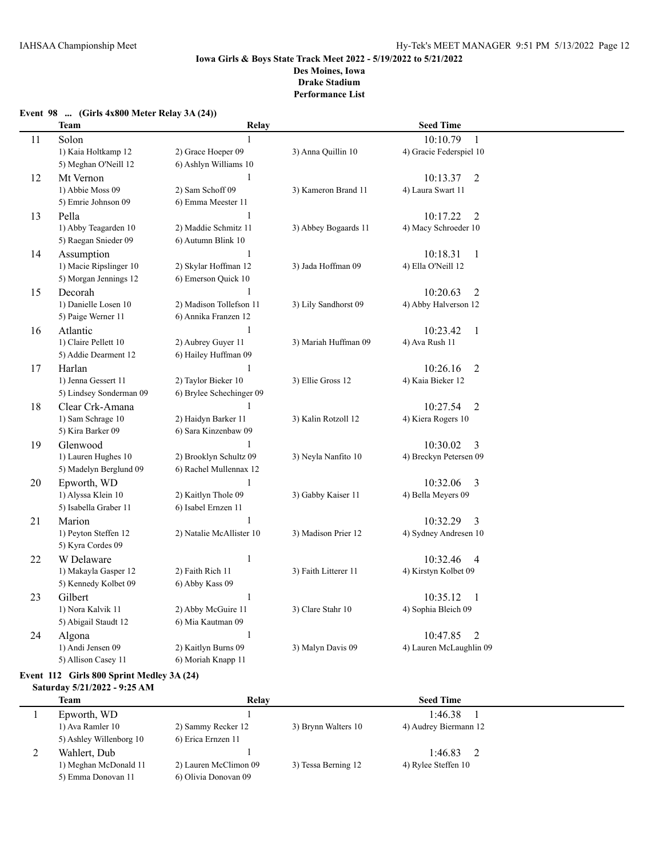## **Event 98 ... (Girls 4x800 Meter Relay 3A (24))**

|    | <b>Team</b>             | Relay                    |                      | <b>Seed Time</b>           |  |
|----|-------------------------|--------------------------|----------------------|----------------------------|--|
| 11 | Solon                   | $\mathbf{1}$             |                      | 10:10.79<br>$\mathbf{1}$   |  |
|    | 1) Kaia Holtkamp 12     | 2) Grace Hoeper 09       | 3) Anna Quillin 10   | 4) Gracie Federspiel 10    |  |
|    | 5) Meghan O'Neill 12    | 6) Ashlyn Williams 10    |                      |                            |  |
| 12 | Mt Vernon               | $\mathbf{1}$             |                      | 10:13.37<br>$\overline{c}$ |  |
|    | 1) Abbie Moss 09        | 2) Sam Schoff 09         | 3) Kameron Brand 11  | 4) Laura Swart 11          |  |
|    | 5) Emrie Johnson 09     | 6) Emma Meester 11       |                      |                            |  |
| 13 | Pella                   | $\mathbf{1}$             |                      | $\overline{2}$<br>10:17.22 |  |
|    | 1) Abby Teagarden 10    | 2) Maddie Schmitz 11     | 3) Abbey Bogaards 11 | 4) Macy Schroeder 10       |  |
|    | 5) Raegan Snieder 09    | 6) Autumn Blink 10       |                      |                            |  |
| 14 | Assumption              | 1                        |                      | 10:18.31<br>$\mathbf{1}$   |  |
|    | 1) Macie Ripslinger 10  | 2) Skylar Hoffman 12     | 3) Jada Hoffman 09   | 4) Ella O'Neill 12         |  |
|    | 5) Morgan Jennings 12   | 6) Emerson Quick 10      |                      |                            |  |
| 15 | Decorah                 | 1                        |                      | 10:20.63<br>$\overline{2}$ |  |
|    | 1) Danielle Losen 10    | 2) Madison Tollefson 11  | 3) Lily Sandhorst 09 | 4) Abby Halverson 12       |  |
|    | 5) Paige Werner 11      | 6) Annika Franzen 12     |                      |                            |  |
| 16 | Atlantic                | $\mathbf{1}$             |                      | 10:23.42<br>$\mathbf{1}$   |  |
|    | 1) Claire Pellett 10    | 2) Aubrey Guyer 11       | 3) Mariah Huffman 09 | 4) Ava Rush 11             |  |
|    | 5) Addie Dearment 12    | 6) Hailey Huffman 09     |                      |                            |  |
| 17 | Harlan                  | $\mathbf{1}$             |                      | 10:26.16<br>$\overline{2}$ |  |
|    | 1) Jenna Gessert 11     | 2) Taylor Bieker 10      | 3) Ellie Gross 12    | 4) Kaia Bieker 12          |  |
|    | 5) Lindsey Sonderman 09 | 6) Brylee Schechinger 09 |                      |                            |  |
| 18 | Clear Crk-Amana         | 1                        |                      | $\overline{2}$<br>10:27.54 |  |
|    | 1) Sam Schrage 10       | 2) Haidyn Barker 11      | 3) Kalin Rotzoll 12  | 4) Kiera Rogers 10         |  |
|    | 5) Kira Barker 09       | 6) Sara Kinzenbaw 09     |                      |                            |  |
| 19 | Glenwood                | 1                        |                      | 10:30.02<br>3              |  |
|    | 1) Lauren Hughes 10     | 2) Brooklyn Schultz 09   | 3) Neyla Nanfito 10  | 4) Breckyn Petersen 09     |  |
|    | 5) Madelyn Berglund 09  | 6) Rachel Mullennax 12   |                      |                            |  |
| 20 | Epworth, WD             | -1                       |                      | 10:32.06<br>3              |  |
|    | 1) Alyssa Klein 10      | 2) Kaitlyn Thole 09      | 3) Gabby Kaiser 11   | 4) Bella Meyers 09         |  |
|    | 5) Isabella Graber 11   | 6) Isabel Ernzen 11      |                      |                            |  |
| 21 | Marion                  |                          |                      | 10:32.29<br>3              |  |
|    | 1) Peyton Steffen 12    | 2) Natalie McAllister 10 | 3) Madison Prier 12  | 4) Sydney Andresen 10      |  |
|    | 5) Kyra Cordes 09       |                          |                      |                            |  |
| 22 | W Delaware              | $\mathbf{1}$             |                      | 10:32.46<br>4              |  |
|    | 1) Makayla Gasper 12    | 2) Faith Rich 11         | 3) Faith Litterer 11 | 4) Kirstyn Kolbet 09       |  |
|    | 5) Kennedy Kolbet 09    | 6) Abby Kass 09          |                      |                            |  |
| 23 | Gilbert                 | $\mathbf{1}$             |                      | 10:35.12<br>$\mathbf{1}$   |  |
|    | 1) Nora Kalvik 11       | 2) Abby McGuire 11       | 3) Clare Stahr 10    | 4) Sophia Bleich 09        |  |
|    | 5) Abigail Staudt 12    | 6) Mia Kautman 09        |                      |                            |  |
| 24 | Algona                  | 1                        |                      | 10:47.85<br>2              |  |
|    | 1) Andi Jensen 09       | 2) Kaitlyn Burns 09      | 3) Malyn Davis 09    | 4) Lauren McLaughlin 09    |  |
|    | 5) Allison Casey 11     | 6) Moriah Knapp 11       |                      |                            |  |

# **Event 112 Girls 800 Sprint Medley 3A (24)**

#### **Saturday 5/21/2022 - 9:25 AM**

| Team                    | Relay                 |                     | <b>Seed Time</b>      |  |
|-------------------------|-----------------------|---------------------|-----------------------|--|
| Epworth, WD             |                       |                     | 1:46.38               |  |
| 1) Ava Ramler 10        | 2) Sammy Recker 12    | 3) Brynn Walters 10 | 4) Audrey Biermann 12 |  |
| 5) Ashley Willenborg 10 | 6) Erica Ernzen 11    |                     |                       |  |
| Wahlert, Dub            |                       |                     | 1:46.83               |  |
| 1) Meghan McDonald 11   | 2) Lauren McClimon 09 | 3) Tessa Berning 12 | 4) Rylee Steffen 10   |  |
| 5) Emma Donovan 11      | 6) Olivia Donovan 09  |                     |                       |  |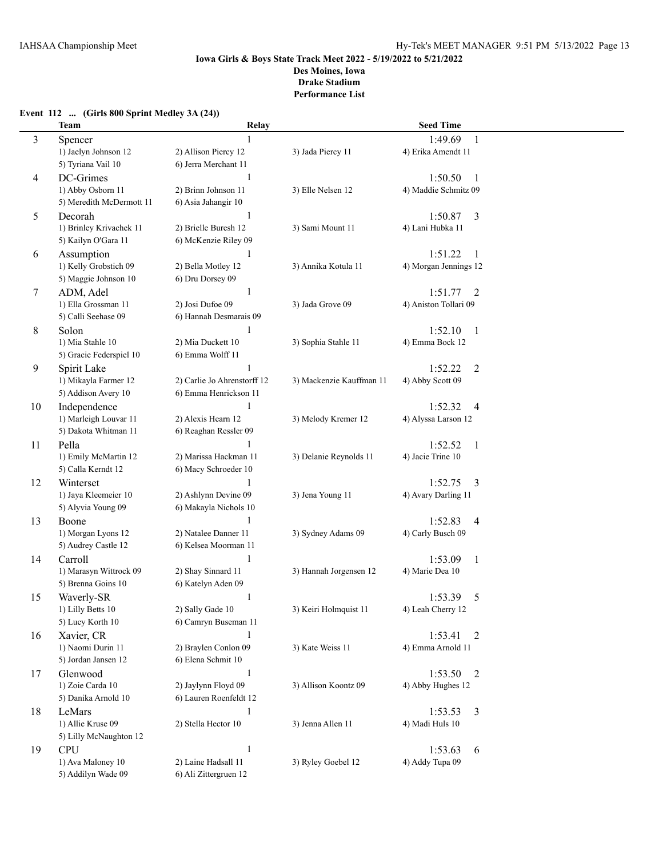|    | <b>Team</b>              | Relay                       |                          | <b>Seed Time</b>                |  |
|----|--------------------------|-----------------------------|--------------------------|---------------------------------|--|
| 3  | Spencer                  |                             |                          | 1:49.69<br>1                    |  |
|    | 1) Jaelyn Johnson 12     | 2) Allison Piercy 12        | 3) Jada Piercy 11        | 4) Erika Amendt 11              |  |
|    | 5) Tyriana Vail 10       | 6) Jerra Merchant 11        |                          |                                 |  |
| 4  | DC-Grimes                | 1                           |                          | 1:50.50<br>1                    |  |
|    | 1) Abby Osborn 11        | 2) Brinn Johnson 11         | 3) Elle Nelsen 12        | 4) Maddie Schmitz 09            |  |
|    | 5) Meredith McDermott 11 | 6) Asia Jahangir 10         |                          |                                 |  |
| 5  | Decorah                  | 1                           |                          | 1:50.87<br>3                    |  |
|    | 1) Brinley Krivachek 11  | 2) Brielle Buresh 12        | 3) Sami Mount 11         | 4) Lani Hubka 11                |  |
|    | 5) Kailyn O'Gara 11      | 6) McKenzie Riley 09        |                          |                                 |  |
| 6  | Assumption               | $\mathbf{1}$                |                          | 1:51.22<br>$\overline{1}$       |  |
|    | 1) Kelly Grobstich 09    | 2) Bella Motley 12          | 3) Annika Kotula 11      | 4) Morgan Jennings 12           |  |
|    | 5) Maggie Johnson 10     | 6) Dru Dorsey 09            |                          |                                 |  |
| 7  | ADM, Adel                | $\mathbf{1}$                |                          | $\overline{2}$<br>1:51.77       |  |
|    | 1) Ella Grossman 11      | 2) Josi Dufoe 09            | 3) Jada Grove 09         | 4) Aniston Tollari 09           |  |
|    | 5) Calli Seehase 09      | 6) Hannah Desmarais 09      |                          |                                 |  |
|    | Solon                    | 1                           |                          | 1:52.10                         |  |
| 8  | 1) Mia Stahle 10         | 2) Mia Duckett 10           | 3) Sophia Stahle 11      | $\mathbf{1}$<br>4) Emma Bock 12 |  |
|    |                          |                             |                          |                                 |  |
|    | 5) Gracie Federspiel 10  | 6) Emma Wolff 11            |                          |                                 |  |
| 9  | Spirit Lake              |                             |                          | 1:52.22<br>$\overline{2}$       |  |
|    | 1) Mikayla Farmer 12     | 2) Carlie Jo Ahrenstorff 12 | 3) Mackenzie Kauffman 11 | 4) Abby Scott 09                |  |
|    | 5) Addison Avery 10      | 6) Emma Henrickson 11       |                          |                                 |  |
| 10 | Independence             | 1                           |                          | 1:52.32<br>$\overline{4}$       |  |
|    | 1) Marleigh Louvar 11    | 2) Alexis Hearn 12          | 3) Melody Kremer 12      | 4) Alyssa Larson 12             |  |
|    | 5) Dakota Whitman 11     | 6) Reaghan Ressler 09       |                          |                                 |  |
| 11 | Pella                    | 1                           |                          | 1:52.52<br>$\mathbf{1}$         |  |
|    | 1) Emily McMartin 12     | 2) Marissa Hackman 11       | 3) Delanie Reynolds 11   | 4) Jacie Trine 10               |  |
|    | 5) Calla Kerndt 12       | 6) Macy Schroeder 10        |                          |                                 |  |
| 12 | Winterset                | $\mathbf{1}$                |                          | 1:52.75<br>3                    |  |
|    | 1) Jaya Kleemeier 10     | 2) Ashlynn Devine 09        | 3) Jena Young 11         | 4) Avary Darling 11             |  |
|    | 5) Alyvia Young 09       | 6) Makayla Nichols 10       |                          |                                 |  |
| 13 | Boone                    | $\mathbf{1}$                |                          | 1:52.83<br>$\overline{4}$       |  |
|    | 1) Morgan Lyons 12       | 2) Natalee Danner 11        | 3) Sydney Adams 09       | 4) Carly Busch 09               |  |
|    | 5) Audrey Castle 12      | 6) Kelsea Moorman 11        |                          |                                 |  |
| 14 | Carroll                  | $\mathbf{1}$                |                          | 1:53.09<br>$\mathbf{1}$         |  |
|    | 1) Marasyn Wittrock 09   | 2) Shay Sinnard 11          | 3) Hannah Jorgensen 12   | 4) Marie Dea 10                 |  |
|    | 5) Brenna Goins 10       | 6) Katelyn Aden 09          |                          |                                 |  |
| 15 | Waverly-SR               | 1                           |                          | 1:53.39<br>5                    |  |
|    | 1) Lilly Betts 10        | 2) Sally Gade 10            | 3) Keiri Holmquist 11    | 4) Leah Cherry 12               |  |
|    | 5) Lucy Korth 10         | 6) Camryn Buseman 11        |                          |                                 |  |
| 16 | Xavier, CR               | $\mathbf{1}$                |                          | 1:53.41<br>2                    |  |
|    | 1) Naomi Durin 11        | 2) Braylen Conlon 09        | 3) Kate Weiss 11         | 4) Emma Arnold 11               |  |
|    | 5) Jordan Jansen 12      | 6) Elena Schmit 10          |                          |                                 |  |
| 17 | Glenwood                 | $\mathbf{1}$                |                          | 1:53.50<br>2                    |  |
|    | 1) Zoie Carda 10         | 2) Jaylynn Floyd 09         | 3) Allison Koontz 09     | 4) Abby Hughes 12               |  |
|    | 5) Danika Arnold 10      | 6) Lauren Roenfeldt 12      |                          |                                 |  |
| 18 | LeMars                   | 1                           |                          | 3<br>1:53.53                    |  |
|    | 1) Allie Kruse 09        | 2) Stella Hector 10         | 3) Jenna Allen 11        | 4) Madi Huls 10                 |  |
|    | 5) Lilly McNaughton 12   |                             |                          |                                 |  |
| 19 | <b>CPU</b>               | $\mathbf{1}$                |                          | 1:53.63<br>6                    |  |
|    | 1) Ava Maloney 10        | 2) Laine Hadsall 11         | 3) Ryley Goebel 12       | 4) Addy Tupa 09                 |  |
|    | 5) Addilyn Wade 09       | 6) Ali Zittergruen 12       |                          |                                 |  |

#### **Event 112 ... (Girls 800 Sprint Medley 3A (24))**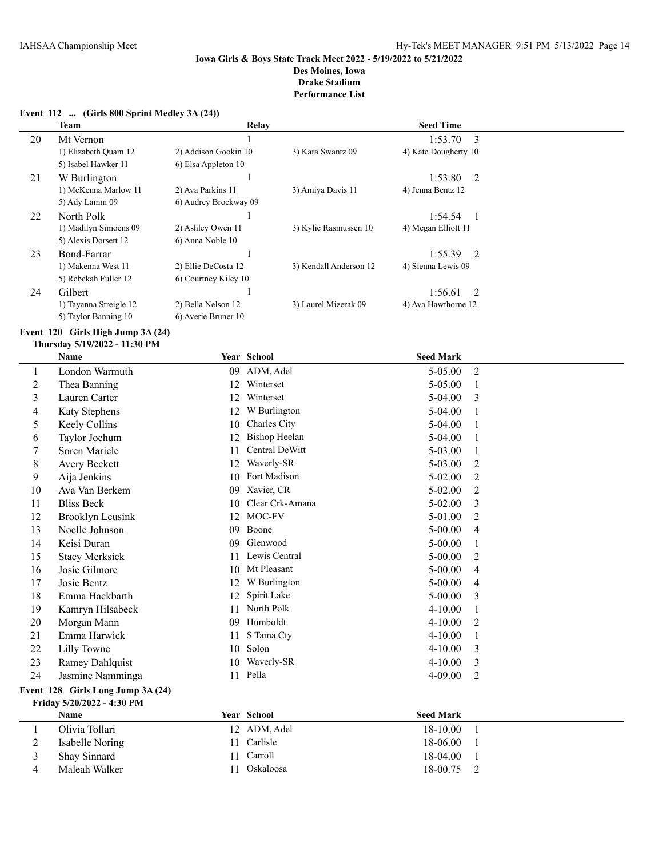#### **Event 112 ... (Girls 800 Sprint Medley 3A (24))**

|    | <b>Team</b>            | Relay                 |                        | <b>Seed Time</b>          |  |
|----|------------------------|-----------------------|------------------------|---------------------------|--|
| 20 | Mt Vernon              |                       |                        | $1:53.70$ 3               |  |
|    | 1) Elizabeth Quam 12   | 2) Addison Gookin 10  | 3) Kara Swantz 09      | 4) Kate Dougherty 10      |  |
|    | 5) Isabel Hawker 11    | 6) Elsa Appleton 10   |                        |                           |  |
| 21 | W Burlington           |                       |                        | 1:53.80 2                 |  |
|    | 1) McKenna Marlow 11   | 2) Ava Parkins 11     | 3) Amiya Davis 11      | 4) Jenna Bentz 12         |  |
|    | 5) Ady Lamm 09         | 6) Audrey Brockway 09 |                        |                           |  |
| 22 | North Polk             |                       |                        | 1:54.54<br>$\overline{1}$ |  |
|    | 1) Madilyn Simoens 09  | 2) Ashley Owen 11     | 3) Kylie Rasmussen 10  | 4) Megan Elliott 11       |  |
|    | 5) Alexis Dorsett 12   | 6) Anna Noble 10      |                        |                           |  |
| 23 | Bond-Farrar            |                       |                        | $1:55.39$ 2               |  |
|    | 1) Makenna West 11     | 2) Ellie DeCosta 12   | 3) Kendall Anderson 12 | 4) Sienna Lewis 09        |  |
|    | 5) Rebekah Fuller 12   | 6) Courtney Kiley 10  |                        |                           |  |
| 24 | Gilbert                |                       |                        | 1:56.61<br>$\overline{2}$ |  |
|    | 1) Tayanna Streigle 12 | 2) Bella Nelson 12    | 3) Laurel Mizerak 09   | 4) Ava Hawthorne 12       |  |
|    | 5) Taylor Banning 10   | 6) Averie Bruner 10   |                        |                           |  |

#### **Event 120 Girls High Jump 3A (24)**

# **Thursday 5/19/2022 - 11:30 PM**

|                  | <b>Name</b>                       |    | Year School          | <b>Seed Mark</b> |                |
|------------------|-----------------------------------|----|----------------------|------------------|----------------|
| 1                | London Warmuth                    | 09 | ADM, Adel            | 5-05.00          | $\overline{2}$ |
| $\overline{2}$   | Thea Banning                      | 12 | Winterset            | 5-05.00          | $\mathbf{1}$   |
| $\mathfrak{Z}$   | Lauren Carter                     | 12 | Winterset            | 5-04.00          | 3              |
| 4                | Katy Stephens                     | 12 | W Burlington         | 5-04.00          | 1              |
| 5                | Keely Collins                     | 10 | Charles City         | 5-04.00          | 1              |
| 6                | Taylor Jochum                     | 12 | <b>Bishop Heelan</b> | 5-04.00          | 1              |
| 7                | Soren Maricle                     | 11 | Central DeWitt       | 5-03.00          | 1              |
| 8                | Avery Beckett                     | 12 | Waverly-SR           | 5-03.00          | $\overline{2}$ |
| 9                | Aija Jenkins                      | 10 | Fort Madison         | 5-02.00          | $\overline{2}$ |
| 10               | Ava Van Berkem                    | 09 | Xavier, CR           | $5 - 02.00$      | $\overline{2}$ |
| 11               | <b>Bliss Beck</b>                 | 10 | Clear Crk-Amana      | $5 - 02.00$      | 3              |
| 12               | <b>Brooklyn Leusink</b>           | 12 | MOC-FV               | 5-01.00          | $\overline{2}$ |
| 13               | Noelle Johnson                    | 09 | Boone                | $5 - 00.00$      | $\overline{4}$ |
| 14               | Keisi Duran                       | 09 | Glenwood             | 5-00.00          | $\mathbf{1}$   |
| 15               | <b>Stacy Merksick</b>             | 11 | Lewis Central        | $5 - 00.00$      | $\overline{2}$ |
| 16               | Josie Gilmore                     | 10 | Mt Pleasant          | $5 - 00.00$      | $\overline{4}$ |
| 17               | Josie Bentz                       | 12 | W Burlington         | 5-00.00          | $\overline{4}$ |
| 18               | Emma Hackbarth                    | 12 | Spirit Lake          | $5 - 00.00$      | 3              |
| 19               | Kamryn Hilsabeck                  | 11 | North Polk           | 4-10.00          | 1              |
| 20               | Morgan Mann                       | 09 | Humboldt             | $4 - 10.00$      | $\overline{2}$ |
| 21               | Emma Harwick                      | 11 | S Tama Cty           | 4-10.00          | 1              |
| 22               | Lilly Towne                       | 10 | Solon                | $4 - 10.00$      | 3              |
| 23               | Ramey Dahlquist                   | 10 | Waverly-SR           | $4 - 10.00$      | 3              |
| 24               | Jasmine Namminga                  |    | 11 Pella             | 4-09.00          | $\overline{2}$ |
|                  | Event 128 Girls Long Jump 3A (24) |    |                      |                  |                |
|                  | Friday 5/20/2022 - 4:30 PM        |    |                      |                  |                |
|                  | Name                              |    | Year School          | <b>Seed Mark</b> |                |
| 1                | Olivia Tollari                    |    | 12 ADM, Adel         | 18-10.00         | 1              |
| $\boldsymbol{2}$ | Isabelle Noring                   | 11 | Carlisle             | 18-06.00         | 1              |
| 3                | Shay Sinnard                      | 11 | Carroll              | 18-04.00         | 1              |
| $\overline{4}$   | Maleah Walker                     | 11 | Oskaloosa            | 18-00.75         | $\overline{2}$ |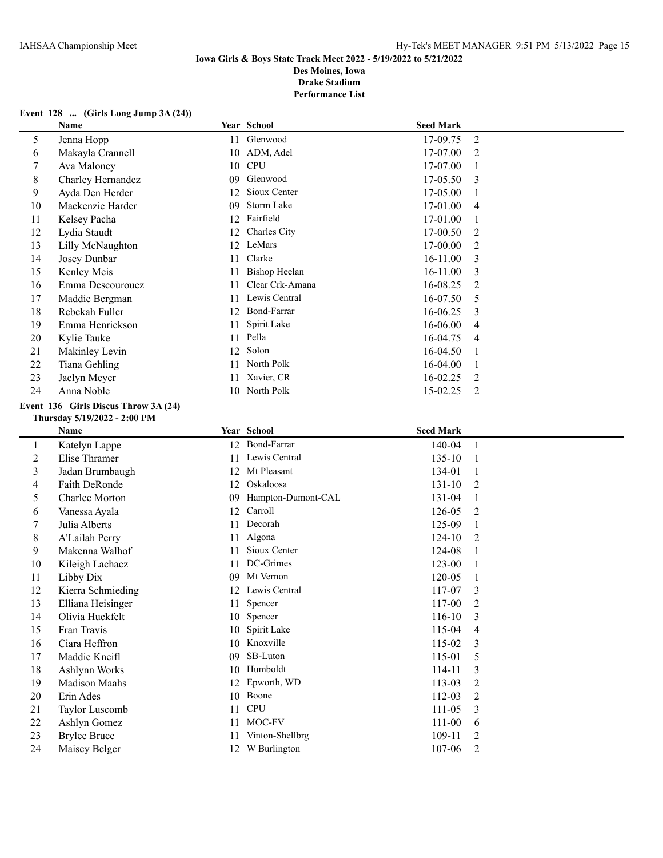# **Event 128 ... (Girls Long Jump 3A (24))**

|                | Name                                 |    | Year School          | <b>Seed Mark</b> |                |
|----------------|--------------------------------------|----|----------------------|------------------|----------------|
| 5              | Jenna Hopp                           |    | 11 Glenwood          | 17-09.75         | $\overline{2}$ |
| 6              | Makayla Crannell                     |    | 10 ADM, Adel         | 17-07.00         | $\overline{2}$ |
| 7              | Ava Maloney                          |    | 10 CPU               | 17-07.00         | $\mathbf{1}$   |
| 8              | Charley Hernandez                    | 09 | Glenwood             | 17-05.50         | 3              |
| 9              | Ayda Den Herder                      |    | 12 Sioux Center      | 17-05.00         | $\mathbf{1}$   |
| 10             | Mackenzie Harder                     | 09 | Storm Lake           | 17-01.00         | $\overline{4}$ |
| 11             | Kelsey Pacha                         |    | 12 Fairfield         | 17-01.00         | $\mathbf{1}$   |
| 12             | Lydia Staudt                         | 12 | Charles City         | 17-00.50         | $\overline{2}$ |
| 13             | Lilly McNaughton                     | 12 | LeMars               | 17-00.00         | $\overline{2}$ |
| 14             | Josey Dunbar                         | 11 | Clarke               | 16-11.00         | 3              |
| 15             | Kenley Meis                          | 11 | <b>Bishop Heelan</b> | 16-11.00         | 3              |
| 16             | Emma Descourouez                     | 11 | Clear Crk-Amana      | 16-08.25         | $\overline{2}$ |
| 17             | Maddie Bergman                       | 11 | Lewis Central        | 16-07.50         | 5              |
| 18             | Rebekah Fuller                       | 12 | Bond-Farrar          | 16-06.25         | 3              |
| 19             | Emma Henrickson                      | 11 | Spirit Lake          | 16-06.00         | $\overline{4}$ |
| 20             | Kylie Tauke                          |    | 11 Pella             | 16-04.75         | 4              |
| 21             | Makinley Levin                       |    | 12 Solon             | 16-04.50         | $\mathbf{1}$   |
| 22             | Tiana Gehling                        |    | 11 North Polk        | 16-04.00         | $\mathbf{1}$   |
| 23             | Jaclyn Meyer                         |    | 11 Xavier, CR        | 16-02.25         | $\overline{2}$ |
| 24             | Anna Noble                           |    | 10 North Polk        | 15-02.25         | $\overline{2}$ |
|                | Event 136 Girls Discus Throw 3A (24) |    |                      |                  |                |
|                | Thursday 5/19/2022 - 2:00 PM         |    |                      |                  |                |
|                | Name                                 |    | Year School          | <b>Seed Mark</b> |                |
| $\mathbf{1}$   | Katelyn Lappe                        |    | 12 Bond-Farrar       | 140-04           | $\mathbf{1}$   |
| $\overline{c}$ | Elise Thramer                        |    | 11 Lewis Central     | 135-10           | $\mathbf{1}$   |
| 3              | Jadan Brumbaugh                      |    | 12 Mt Pleasant       | 134-01           | $\mathbf{1}$   |
| 4              | Faith DeRonde                        |    | 12 Oskaloosa         | $131 - 10$       | $\overline{2}$ |
| 5              | Charlee Morton                       | 09 | Hampton-Dumont-CAL   | 131-04           | $\mathbf{1}$   |
| 6              | Vanessa Ayala                        |    | 12 Carroll           | 126-05           | $\overline{2}$ |
| 7              | Julia Alberts                        | 11 | Decorah              | 125-09           | $\mathbf{1}$   |
| 8              | A'Lailah Perry                       |    | 11 Algona            | 124-10           | $\overline{2}$ |
| 9              | Makenna Walhof                       | 11 | Sioux Center         | 124-08           | $\mathbf{1}$   |
| 10             | Kileigh Lachacz                      | 11 | DC-Grimes            | 123-00           | $\mathbf{1}$   |
| 11             | Libby Dix                            | 09 | Mt Vernon            | 120-05           | $\mathbf{1}$   |
| 12             | Kierra Schmieding                    |    | 12 Lewis Central     | 117-07           | 3              |
| 13             | Elliana Heisinger                    |    | 11 Spencer           | 117-00           | $\overline{2}$ |
| 14             | Olivia Huckfelt                      |    | 10 Spencer           | 116-10           | 3              |
| 15             | Fran Travis                          |    | 10 Spirit Lake       | 115-04           | 4              |
| 16             | Ciara Heffron                        |    | 10 Knoxville         | 115-02           | 3              |
| 17             | Maddie Kneifl                        | 09 | SB-Luton             | 115-01           | 5              |
| 18             | Ashlynn Works                        |    | 10 Humboldt          | 114-11           | 3              |
| 19             | Madison Maahs                        |    | 12 Epworth, WD       | 113-03           | $\overline{c}$ |
| 20             | Erin Ades                            |    | 10 Boone             | 112-03           | $\overline{2}$ |
| 21             | Taylor Luscomb                       |    | 11 CPU               | 111-05           | 3              |
| 22             | Ashlyn Gomez                         |    | 11 MOC-FV            | $111 - 00$       | 6              |
| 23             | <b>Brylee Bruce</b>                  |    | 11 Vinton-Shellbrg   | 109-11           | $\overline{2}$ |
| 24             | Maisey Belger                        |    | 12 W Burlington      | 107-06           | $\overline{2}$ |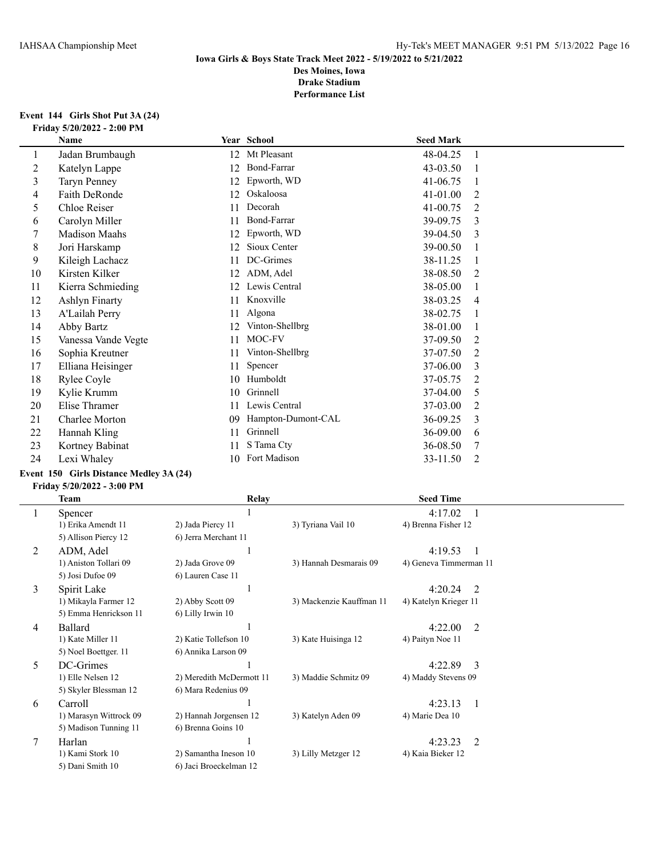#### **Event 144 Girls Shot Put 3A (24) Friday 5/20/2022 - 2:00 PM**

|    | Name                  |    | Year School         | <b>Seed Mark</b> |   |
|----|-----------------------|----|---------------------|------------------|---|
| 1  | Jadan Brumbaugh       | 12 | Mt Pleasant         | 48-04.25         |   |
| 2  | Katelyn Lappe         | 12 | Bond-Farrar         | 43-03.50         |   |
| 3  | <b>Taryn Penney</b>   | 12 | Epworth, WD         | 41-06.75         |   |
| 4  | Faith DeRonde         | 12 | Oskaloosa           | 41-01.00         | 2 |
| 5  | Chloe Reiser          | 11 | Decorah             | 41-00.75         | 2 |
| 6  | Carolyn Miller        | 11 | Bond-Farrar         | 39-09.75         | 3 |
|    | <b>Madison Maahs</b>  | 12 | Epworth, WD         | 39-04.50         | 3 |
| 8  | Jori Harskamp         | 12 | Sioux Center        | 39-00.50         |   |
| 9  | Kileigh Lachacz       | 11 | DC-Grimes           | 38-11.25         |   |
| 10 | Kirsten Kilker        | 12 | ADM, Adel           | 38-08.50         | 2 |
| 11 | Kierra Schmieding     | 12 | Lewis Central       | 38-05.00         |   |
| 12 | <b>Ashlyn Finarty</b> | 11 | Knoxville           | 38-03.25         | 4 |
| 13 | A'Lailah Perry        | 11 | Algona              | 38-02.75         |   |
| 14 | Abby Bartz            | 12 | Vinton-Shellbrg     | 38-01.00         |   |
| 15 | Vanessa Vande Vegte   | 11 | MOC-FV              | 37-09.50         | 2 |
| 16 | Sophia Kreutner       | 11 | Vinton-Shellbrg     | 37-07.50         | 2 |
| 17 | Elliana Heisinger     | 11 | Spencer             | 37-06.00         | 3 |
| 18 | Rylee Coyle           | 10 | Humboldt            | 37-05.75         | 2 |
| 19 | Kylie Krumm           | 10 | Grinnell            | 37-04.00         | 5 |
| 20 | Elise Thramer         | 11 | Lewis Central       | 37-03.00         | 2 |
| 21 | Charlee Morton        | 09 | Hampton-Dumont-CAL  | 36-09.25         | 3 |
| 22 | Hannah Kling          | 11 | Grinnell            | 36-09.00         | 6 |
| 23 | Kortney Babinat       | 11 | S Tama Cty          | 36-08.50         | 7 |
| 24 | Lexi Whaley           | 10 | <b>Fort Madison</b> | 33-11.50         | 2 |

# **Event 150 Girls Distance Medley 3A (24)**

#### **Friday 5/20/2022 - 3:00 PM**

|                | Team                   | Relay                    |                          | <b>Seed Time</b>          |  |
|----------------|------------------------|--------------------------|--------------------------|---------------------------|--|
| 1              | Spencer                |                          |                          | 4:17.02                   |  |
|                | 1) Erika Amendt 11     | 2) Jada Piercy 11        | 3) Tyriana Vail 10       | 4) Brenna Fisher 12       |  |
|                | 5) Allison Piercy 12   | 6) Jerra Merchant 11     |                          |                           |  |
| 2              | ADM, Adel              |                          |                          | 4:19.53                   |  |
|                | 1) Aniston Tollari 09  | 2) Jada Grove 09         | 3) Hannah Desmarais 09   | 4) Geneva Timmerman 11    |  |
|                | 5) Josi Dufoe 09       | 6) Lauren Case 11        |                          |                           |  |
| 3              | Spirit Lake            |                          |                          | 4:20.24<br>2              |  |
|                | 1) Mikayla Farmer 12   | 2) Abby Scott 09         | 3) Mackenzie Kauffman 11 | 4) Katelyn Krieger 11     |  |
|                | 5) Emma Henrickson 11  | 6) Lilly Irwin 10        |                          |                           |  |
| $\overline{4}$ | <b>Ballard</b>         |                          |                          | 4:22.00<br>2              |  |
|                | 1) Kate Miller 11      | 2) Katie Tollefson 10    | 3) Kate Huisinga 12      | 4) Paityn Noe 11          |  |
|                | 5) Noel Boettger. 11   | 6) Annika Larson 09      |                          |                           |  |
| 5.             | DC-Grimes              |                          |                          | 4:22.89<br>$\mathcal{E}$  |  |
|                | 1) Elle Nelsen 12      | 2) Meredith McDermott 11 | 3) Maddie Schmitz 09     | 4) Maddy Stevens 09       |  |
|                | 5) Skyler Blessman 12  | 6) Mara Redenius 09      |                          |                           |  |
| 6              | Carroll                |                          |                          | 4:23.13<br>$\overline{1}$ |  |
|                | 1) Marasyn Wittrock 09 | 2) Hannah Jorgensen 12   | 3) Katelyn Aden 09       | 4) Marie Dea 10           |  |
|                | 5) Madison Tunning 11  | 6) Brenna Goins 10       |                          |                           |  |
|                | Harlan                 |                          |                          | 2<br>4:23.23              |  |
|                | 1) Kami Stork 10       | 2) Samantha Ineson 10    | 3) Lilly Metzger 12      | 4) Kaia Bieker 12         |  |
|                | 5) Dani Smith 10       | 6) Jaci Broeckelman 12   |                          |                           |  |